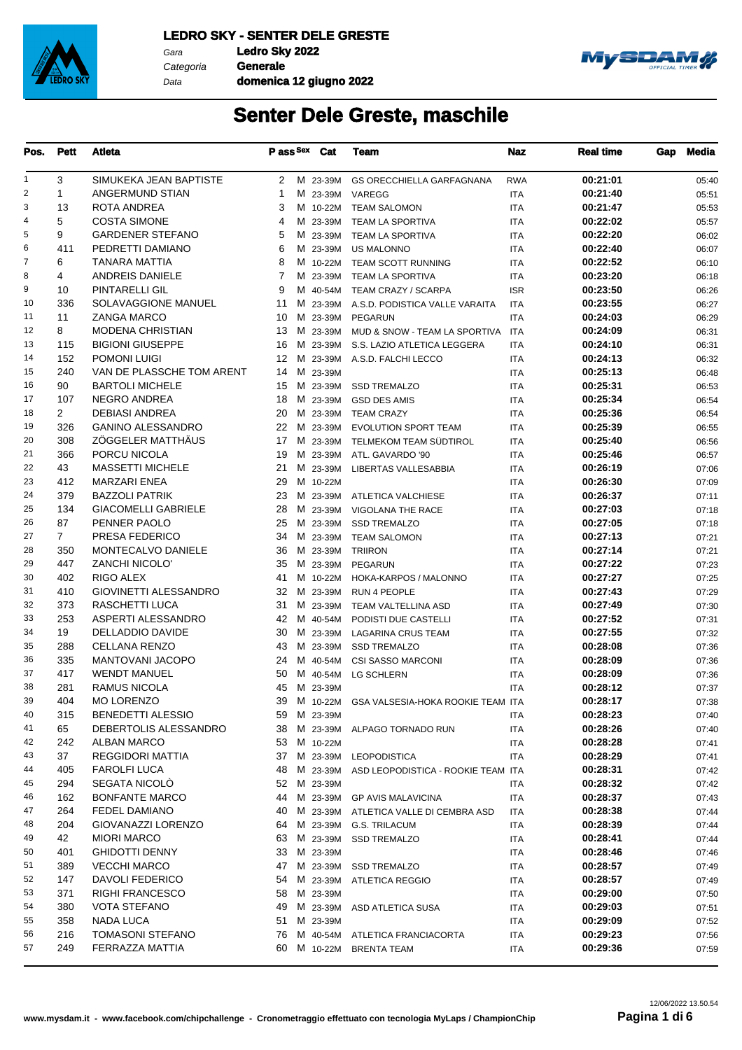

Gara **Ledro Sky 2022** Data

Categoria **Generale domenica 12 giugno 2022**



| Pos.           | <b>Pett</b>    | Atleta                                        | P ass Sex    |             | Cat | Team                                          | <b>Naz</b> | <b>Real time</b>     | Gap | Media          |
|----------------|----------------|-----------------------------------------------|--------------|-------------|-----|-----------------------------------------------|------------|----------------------|-----|----------------|
| 1              | 3              | SIMUKEKA JEAN BAPTISTE                        | $\mathbf{2}$ | M 23-39M    |     | <b>GS ORECCHIELLA GARFAGNANA</b>              | <b>RWA</b> | 00:21:01             |     | 05:40          |
| 2              | $\mathbf{1}$   | ANGERMUND STIAN                               | 1            | M 23-39M    |     | VAREGG                                        | ITA        | 00:21:40             |     | 05:51          |
| 3              | 13             | ROTA ANDREA                                   | 3            | M 10-22M    |     | <b>TEAM SALOMON</b>                           | ITA        | 00:21:47             |     | 05:53          |
| $\overline{4}$ | 5              | <b>COSTA SIMONE</b>                           | 4            | M 23-39M    |     | <b>TEAM LA SPORTIVA</b>                       | <b>ITA</b> | 00:22:02             |     | 05:57          |
| 5              | 9              | <b>GARDENER STEFANO</b>                       | 5            | M 23-39M    |     | TEAM LA SPORTIVA                              | ITA        | 00:22:20             |     | 06:02          |
| 6              | 411            | PEDRETTI DAMIANO                              | 6            | M 23-39M    |     | <b>US MALONNO</b>                             | <b>ITA</b> | 00:22:40             |     | 06:07          |
| $\overline{7}$ | 6              | <b>TANARA MATTIA</b>                          | 8            | M 10-22M    |     | TEAM SCOTT RUNNING                            | <b>ITA</b> | 00:22:52             |     | 06:10          |
| 8              | 4              | <b>ANDREIS DANIELE</b>                        | 7            | M 23-39M    |     | <b>TEAM LA SPORTIVA</b>                       | <b>ITA</b> | 00:23:20             |     | 06:18          |
| 9              | 10             | PINTARELLI GIL                                | 9            | M 40-54M    |     | TEAM CRAZY / SCARPA                           | <b>ISR</b> | 00:23:50             |     | 06:26          |
| 10             | 336            | <b>SOLAVAGGIONE MANUEL</b>                    | 11           | M 23-39M    |     | A.S.D. PODISTICA VALLE VARAITA                | <b>ITA</b> | 00:23:55             |     | 06:27          |
| 11             | 11             | <b>ZANGA MARCO</b>                            | 10           | M 23-39M    |     | <b>PEGARUN</b>                                | <b>ITA</b> | 00:24:03             |     | 06:29          |
| 12             | 8              | MODENA CHRISTIAN                              | 13           | M 23-39M    |     | MUD & SNOW - TEAM LA SPORTIVA                 | <b>ITA</b> | 00:24:09             |     | 06:31          |
| 13             | 115            | <b>BIGIONI GIUSEPPE</b>                       | 16           | M 23-39M    |     | S.S. LAZIO ATLETICA LEGGERA                   | <b>ITA</b> | 00:24:10             |     | 06:31          |
| 14             | 152            | <b>POMONI LUIGI</b>                           | 12           | M 23-39M    |     | A.S.D. FALCHI LECCO                           | ITA        | 00:24:13             |     | 06:32          |
| 15             | 240            | VAN DE PLASSCHE TOM ARENT                     | 14           | M 23-39M    |     |                                               | ITA        | 00:25:13             |     | 06:48          |
| 16             | 90             | <b>BARTOLI MICHELE</b>                        | 15           | M 23-39M    |     | <b>SSD TREMALZO</b>                           | <b>ITA</b> | 00:25:31             |     | 06:53          |
| 17             | 107            | <b>NEGRO ANDREA</b>                           | 18           | M 23-39M    |     | <b>GSD DES AMIS</b>                           | ITA        | 00:25:34             |     | 06:54          |
| 18             | 2              | <b>DEBIASI ANDREA</b>                         | 20           | M 23-39M    |     | <b>TEAM CRAZY</b>                             | <b>ITA</b> | 00:25:36             |     | 06:54          |
| 19             | 326            | <b>GANINO ALESSANDRO</b>                      | 22           | M 23-39M    |     | <b>EVOLUTION SPORT TEAM</b>                   | <b>ITA</b> | 00:25:39             |     | 06:55          |
| 20             | 308            | ZÖGGELER MATTHÄUS                             | 17           | M 23-39M    |     | TELMEKOM TEAM SÜDTIROL                        | <b>ITA</b> | 00:25:40             |     | 06:56          |
| 21             | 366            | PORCU NICOLA                                  | 19           | M 23-39M    |     | ATL. GAVARDO '90                              | <b>ITA</b> | 00:25:46             |     | 06:57          |
| 22             | 43             | <b>MASSETTI MICHELE</b>                       | 21           | M 23-39M    |     | LIBERTAS VALLESABBIA                          | <b>ITA</b> | 00:26:19             |     | 07:06          |
| 23             | 412            | <b>MARZARI ENEA</b>                           | 29           | M 10-22M    |     |                                               | ITA        | 00:26:30             |     | 07:09          |
| 24             | 379            | <b>BAZZOLI PATRIK</b>                         | 23           |             |     | M 23-39M ATLETICA VALCHIESE                   | <b>ITA</b> | 00:26:37             |     | 07:11          |
| 25             | 134            | <b>GIACOMELLI GABRIELE</b>                    | 28           | M 23-39M    |     | VIGOLANA THE RACE                             | <b>ITA</b> | 00:27:03             |     | 07:18          |
| 26             | 87             | PENNER PAOLO                                  | 25           | M 23-39M    |     | <b>SSD TREMALZO</b>                           | ITA        | 00:27:05             |     | 07:18          |
| 27             | $\overline{7}$ | PRESA FEDERICO                                | 34           | M 23-39M    |     | <b>TEAM SALOMON</b>                           | ITA        | 00:27:13             |     | 07:21          |
| 28             | 350            | MONTECALVO DANIELE                            | 36           | M 23-39M    |     | <b>TRIIRON</b>                                | <b>ITA</b> | 00:27:14             |     | 07:21          |
| 29             | 447            | <b>ZANCHI NICOLO'</b>                         | 35           | M 23-39M    |     | <b>PEGARUN</b>                                | ITA        | 00:27:22             |     | 07:23          |
| 30             | 402            | RIGO ALEX                                     | 41           | M 10-22M    |     | HOKA-KARPOS / MALONNO                         | <b>ITA</b> | 00:27:27             |     | 07:25          |
| 31             | 410            | GIOVINETTI ALESSANDRO                         | 32           | M 23-39M    |     | RUN 4 PEOPLE                                  | <b>ITA</b> | 00:27:43             |     | 07:29          |
| 32             | 373            | RASCHETTI LUCA                                | 31           | M 23-39M    |     | TEAM VALTELLINA ASD                           | <b>ITA</b> | 00:27:49             |     | 07:30          |
| 33             | 253            | ASPERTI ALESSANDRO                            | 42           | M 40-54M    |     | PODISTI DUE CASTELLI                          | <b>ITA</b> | 00:27:52             |     | 07:31          |
| 34             | 19             | <b>DELLADDIO DAVIDE</b>                       | 30           | M 23-39M    |     | LAGARINA CRUS TEAM                            | <b>ITA</b> | 00:27:55             |     | 07:32          |
| 35             | 288            | <b>CELLANA RENZO</b>                          | 43           | M 23-39M    |     | <b>SSD TREMALZO</b>                           | ITA        | 00:28:08             |     | 07:36          |
| 36             | 335            | <b>MANTOVANI JACOPO</b>                       | 24           | M 40-54M    |     | <b>CSI SASSO MARCONI</b>                      | ITA        | 00:28:09             |     | 07:36          |
| 37             | 417            | <b>WENDT MANUEL</b>                           | 50           | M 40-54M    |     | LG SCHLERN                                    | <b>ITA</b> | 00:28:09             |     | 07:36          |
| 38             | 281            | <b>RAMUS NICOLA</b>                           |              | 45 M 23-39M |     |                                               | <b>ITA</b> | 00:28:12             |     | 07:37          |
| 39             | 404            | MO LORENZO                                    |              |             |     | 39 M 10-22M GSA VALSESIA-HOKA ROOKIE TEAM ITA |            | 00:28:17             |     | 07:38          |
| 40             | 315            | BENEDETTI ALESSIO                             | 59           | M 23-39M    |     |                                               | ITA        | 00:28:23             |     |                |
| 41             | 65             | DEBERTOLIS ALESSANDRO                         |              |             |     | 38 M 23-39M ALPAGO TORNADO RUN                | ITA        | 00:28:26             |     | 07:40<br>07:40 |
| 42             | 242            | ALBAN MARCO                                   |              | 53 M 10-22M |     |                                               |            | 00:28:28             |     |                |
| 43             | 37             | REGGIDORI MATTIA                              | 37 M 23-39M  |             |     |                                               | ITA        | 00:28:29             |     | 07:41          |
| 44             | 405            | <b>FAROLFI LUCA</b>                           |              |             |     | <b>LEOPODISTICA</b>                           | ITA        |                      |     | 07:41          |
|                |                |                                               |              | 48 M 23-39M |     | ASD LEOPODISTICA - ROOKIE TEAM ITA            |            | 00:28:31             |     | 07:42          |
| 45             | 294            | <b>SEGATA NICOLO</b>                          |              | 52 M 23-39M |     |                                               | ITA        | 00:28:32             |     | 07:42          |
| 46<br>47       | 162            | <b>BONFANTE MARCO</b><br><b>FEDEL DAMIANO</b> | 44           | M 23-39M    |     | <b>GP AVIS MALAVICINA</b>                     | ITA        | 00:28:37<br>00:28:38 |     | 07:43          |
|                | 264            |                                               | 40           | M 23-39M    |     | ATLETICA VALLE DI CEMBRA ASD                  | ITA        |                      |     | 07:44          |
| 48             | 204            | GIOVANAZZI LORENZO                            | 64           | M 23-39M    |     | <b>G.S. TRILACUM</b>                          | ITA        | 00:28:39             |     | 07:44          |
| 49             | 42             | <b>MIORI MARCO</b>                            | 63           | M 23-39M    |     | <b>SSD TREMALZO</b>                           | ITA        | 00:28:41             |     | 07:44          |
| 50             | 401            | <b>GHIDOTTI DENNY</b>                         |              | 33 M 23-39M |     |                                               | ITA        | 00:28:46             |     | 07:46          |
| 51             | 389            | <b>VECCHI MARCO</b>                           |              | 47 M 23-39M |     | <b>SSD TREMALZO</b>                           | ITA        | 00:28:57             |     | 07:49          |
| 52             | 147            | DAVOLI FEDERICO                               | 54           | M 23-39M    |     | <b>ATLETICA REGGIO</b>                        | ITA        | 00:28:57             |     | 07:49          |
| 53             | 371            | RIGHI FRANCESCO                               |              | 58 M 23-39M |     |                                               | ITA        | 00:29:00             |     | 07:50          |
| 54             | 380            | <b>VOTA STEFANO</b>                           | 49           |             |     | M 23-39M ASD ATLETICA SUSA                    | ITA        | 00:29:03             |     | 07:51          |
| 55             | 358            | NADA LUCA                                     | 51           | M 23-39M    |     |                                               | ITA        | 00:29:09             |     | 07:52          |
| 56             | 216            | <b>TOMASONI STEFANO</b>                       | 76           |             |     | M 40-54M ATLETICA FRANCIACORTA                | ITA        | 00:29:23             |     | 07:56          |
| 57             | 249            | FERRAZZA MATTIA                               |              | 60 M 10-22M |     | <b>BRENTA TEAM</b>                            | ITA        | 00:29:36             |     | 07:59          |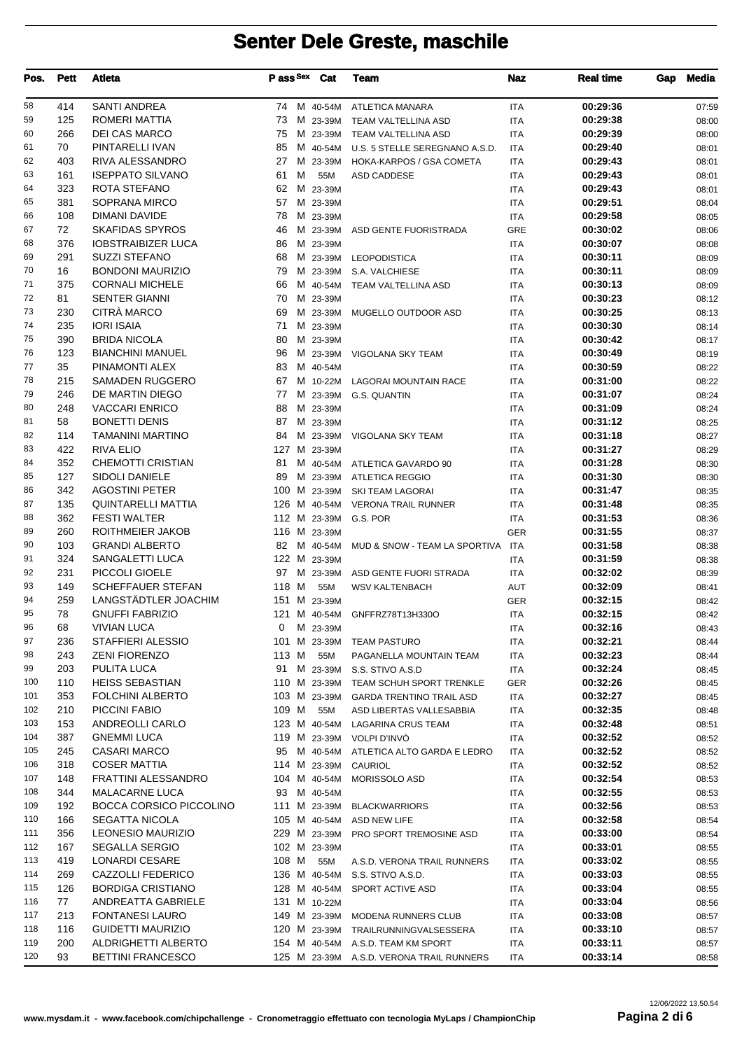| Pos.       | <b>Pett</b> | Atleta                                          | P ass Sex    | Cat                  | Team                                     | Naz                      | <b>Real time</b>     | Gap | Media          |
|------------|-------------|-------------------------------------------------|--------------|----------------------|------------------------------------------|--------------------------|----------------------|-----|----------------|
| 58         | 414         | <b>SANTI ANDREA</b>                             |              |                      | 74 M 40-54M ATLETICA MANARA              | <b>ITA</b>               | 00:29:36             |     | 07:59          |
| 59         | 125         | ROMERI MATTIA                                   | 73           | M 23-39M             | TEAM VALTELLINA ASD                      | <b>ITA</b>               | 00:29:38             |     | 08:00          |
| 60         | 266         | <b>DEI CAS MARCO</b>                            | 75           | M 23-39M             | TEAM VALTELLINA ASD                      | <b>ITA</b>               | 00:29:39             |     | 08:00          |
| 61         | 70          | PINTARELLI IVAN                                 | 85           | M 40-54M             | U.S. 5 STELLE SEREGNANO A.S.D.           | <b>ITA</b>               | 00:29:40             |     | 08:01          |
| 62         | 403         | RIVA ALESSANDRO                                 | 27           | M 23-39M             | HOKA-KARPOS / GSA COMETA                 | <b>ITA</b>               | 00:29:43             |     | 08:01          |
| 63         | 161         | <b>ISEPPATO SILVANO</b>                         | м<br>61      | 55M                  | ASD CADDESE                              | <b>ITA</b>               | 00:29:43             |     | 08:01          |
| 64         | 323         | ROTA STEFANO                                    | 62           | M 23-39M             |                                          | <b>ITA</b>               | 00:29:43             |     | 08:01          |
| 65         | 381         | SOPRANA MIRCO                                   | 57           | M 23-39M             |                                          | <b>ITA</b>               | 00:29:51             |     | 08:04          |
| 66         | 108         | DIMANI DAVIDE                                   | 78           | M 23-39M             |                                          | <b>ITA</b>               | 00:29:58             |     | 08:05          |
| 67         | 72          | <b>SKAFIDAS SPYROS</b>                          | 46           |                      | M 23-39M ASD GENTE FUORISTRADA           | <b>GRE</b>               | 00:30:02             |     | 08:06          |
| 68         | 376         | <b>IOBSTRAIBIZER LUCA</b>                       | 86           | M 23-39M             |                                          | <b>ITA</b>               | 00:30:07             |     | 08:08          |
| 69<br>70   | 291<br>16   | <b>SUZZI STEFANO</b><br><b>BONDONI MAURIZIO</b> | 68<br>79     | M 23-39M<br>M 23-39M | <b>LEOPODISTICA</b>                      | <b>ITA</b>               | 00:30:11<br>00:30:11 |     | 08:09          |
| 71         | 375         | <b>CORNALI MICHELE</b>                          | 66           | M 40-54M             | S.A. VALCHIESE<br>TEAM VALTELLINA ASD    | <b>ITA</b><br><b>ITA</b> | 00:30:13             |     | 08:09<br>08:09 |
| 72         | 81          | <b>SENTER GIANNI</b>                            | 70           | M 23-39M             |                                          | <b>ITA</b>               | 00:30:23             |     | 08:12          |
| 73         | 230         | CITRÀ MARCO                                     | 69           | M 23-39M             | MUGELLO OUTDOOR ASD                      | <b>ITA</b>               | 00:30:25             |     | 08:13          |
| 74         | 235         | <b>IORI ISAIA</b>                               | 71           | M 23-39M             |                                          | <b>ITA</b>               | 00:30:30             |     | 08:14          |
| 75         | 390         | <b>BRIDA NICOLA</b>                             | 80           | M 23-39M             |                                          | <b>ITA</b>               | 00:30:42             |     | 08:17          |
| 76         | 123         | <b>BIANCHINI MANUEL</b>                         | 96           | M 23-39M             | VIGOLANA SKY TEAM                        | <b>ITA</b>               | 00:30:49             |     | 08:19          |
| 77         | 35          | PINAMONTI ALEX                                  | 83           | M 40-54M             |                                          | <b>ITA</b>               | 00:30:59             |     | 08:22          |
| 78         | 215         | SAMADEN RUGGERO                                 | 67           | M 10-22M             | <b>LAGORAI MOUNTAIN RACE</b>             | <b>ITA</b>               | 00:31:00             |     | 08:22          |
| 79         | 246         | DE MARTIN DIEGO                                 | 77           | M 23-39M             | <b>G.S. QUANTIN</b>                      | <b>ITA</b>               | 00:31:07             |     | 08:24          |
| 80         | 248         | <b>VACCARI ENRICO</b>                           | 88           | M 23-39M             |                                          | <b>ITA</b>               | 00:31:09             |     | 08:24          |
| 81         | 58          | <b>BONETTI DENIS</b>                            | 87           | M 23-39M             |                                          | <b>ITA</b>               | 00:31:12             |     | 08:25          |
| 82         | 114         | <b>TAMANINI MARTINO</b>                         | 84           |                      | M 23-39M VIGOLANA SKY TEAM               | <b>ITA</b>               | 00:31:18             |     | 08:27          |
| 83         | 422         | <b>RIVA ELIO</b>                                |              | 127 M 23-39M         |                                          | <b>ITA</b>               | 00:31:27             |     | 08:29          |
| 84         | 352         | <b>CHEMOTTI CRISTIAN</b>                        | 81           |                      | M 40-54M ATLETICA GAVARDO 90             | <b>ITA</b>               | 00:31:28             |     | 08:30          |
| 85         | 127         | SIDOLI DANIELE                                  | 89           |                      | M 23-39M ATLETICA REGGIO                 | <b>ITA</b>               | 00:31:30             |     | 08:30          |
| 86         | 342         | <b>AGOSTINI PETER</b>                           |              | 100 M 23-39M         | SKI TEAM LAGORAI                         | <b>ITA</b>               | 00:31:47             |     | 08:35          |
| 87         | 135         | <b>QUINTARELLI MATTIA</b>                       |              |                      | 126 M 40-54M VERONA TRAIL RUNNER         | <b>ITA</b>               | 00:31:48             |     | 08:35          |
| 88         | 362         | <b>FESTI WALTER</b>                             |              |                      | 112 M 23-39M G.S. POR                    | <b>ITA</b>               | 00:31:53             |     | 08:36          |
| 89         | 260         | ROITHMEIER JAKOB                                |              | 116 M 23-39M         |                                          | <b>GER</b>               | 00:31:55             |     | 08:37          |
| 90         | 103         | <b>GRANDI ALBERTO</b>                           | 82           | M 40-54M             | MUD & SNOW - TEAM LA SPORTIVA            | <b>ITA</b>               | 00:31:58             |     | 08:38          |
| 91         | 324         | SANGALETTI LUCA                                 |              | 122 M 23-39M         |                                          | <b>ITA</b>               | 00:31:59             |     | 08:38          |
| 92         | 231         | PICCOLI GIOELE<br><b>SCHEFFAUER STEFAN</b>      | 97           |                      | M 23-39M ASD GENTE FUORI STRADA          | <b>ITA</b>               | 00:32:02<br>00:32:09 |     | 08:39          |
| 93<br>94   | 149<br>259  | LANGSTÄDTLER JOACHIM                            | 118 M<br>151 | 55M<br>M 23-39M      | <b>WSV KALTENBACH</b>                    | AUT                      | 00:32:15             |     | 08:41          |
| 95         | 78          | <b>GNUFFI FABRIZIO</b>                          |              |                      | 121 M 40-54M GNFFRZ78T13H330O            | <b>GER</b><br><b>ITA</b> | 00:32:15             |     | 08:42<br>08:42 |
| 96         | 68          | VIVIAN LUCA                                     | 0            | M 23-39M             |                                          | ITA                      | 00:32:16             |     | 08:43          |
| 97         | 236         | STAFFIERI ALESSIO                               |              |                      | 101 M 23-39M TEAM PASTURO                | ITA                      | 00:32:21             |     | 08:44          |
| 98         | 243         | <b>ZENI FIORENZO</b>                            | 113 M        | 55M                  | PAGANELLA MOUNTAIN TEAM                  | ITA                      | 00:32:23             |     | 08:44          |
| 99         | 203         | PULITA LUCA                                     | 91           |                      | M 23-39M S.S. STIVO A.S.D                | ITA                      | 00:32:24             |     | 08:45          |
| 100        | 110         | <b>HEISS SEBASTIAN</b>                          |              |                      | 110 M 23-39M TEAM SCHUH SPORT TRENKLE    | GER                      | 00:32:26             |     | 08:45          |
| 101        | 353         | <b>FOLCHINI ALBERTO</b>                         |              | 103 M 23-39M         | <b>GARDA TRENTINO TRAIL ASD</b>          | <b>ITA</b>               | 00:32:27             |     | 08:45          |
| 102        | 210         | PICCINI FABIO                                   | 109 M        | 55M                  | ASD LIBERTAS VALLESABBIA                 | <b>ITA</b>               | 00:32:35             |     | 08:48          |
| 103        | 153         | ANDREOLLI CARLO                                 |              | 123 M 40-54M         | LAGARINA CRUS TEAM                       | ITA                      | 00:32:48             |     | 08:51          |
| 104        | 387         | <b>GNEMMI LUCA</b>                              |              |                      | 119 M 23-39M VOLPI D'INVÒ                | <b>ITA</b>               | 00:32:52             |     | 08:52          |
| 105        | 245         | <b>CASARI MARCO</b>                             | 95           |                      | M 40-54M ATLETICA ALTO GARDA E LEDRO     | ITA                      | 00:32:52             |     | 08:52          |
| 106        | 318         | <b>COSER MATTIA</b>                             |              | 114 M 23-39M         | CAURIOL                                  | ITA                      | 00:32:52             |     | 08:52          |
| 107        | 148         | <b>FRATTINI ALESSANDRO</b>                      |              | 104 M 40-54M         | MORISSOLO ASD                            | <b>ITA</b>               | 00:32:54             |     | 08:53          |
| 108        | 344         | <b>MALACARNE LUCA</b>                           | 93           | M 40-54M             |                                          | ITA                      | 00:32:55             |     | 08:53          |
| 109        | 192         | <b>BOCCA CORSICO PICCOLINO</b>                  |              |                      | 111 M 23-39M BLACKWARRIORS               | ITA                      | 00:32:56             |     | 08:53          |
| 110        | 166         | <b>SEGATTA NICOLA</b>                           |              |                      | 105 M 40-54M ASD NEW LIFE                | <b>ITA</b>               | 00:32:58             |     | 08:54          |
| 111        | 356         | <b>LEONESIO MAURIZIO</b>                        |              |                      | 229 M 23-39M PRO SPORT TREMOSINE ASD     | <b>ITA</b>               | 00:33:00             |     | 08:54          |
| 112        | 167         | <b>SEGALLA SERGIO</b>                           |              | 102 M 23-39M         |                                          | ITA                      | 00:33:01             |     | 08:55          |
| 113        | 419         | LONARDI CESARE                                  | 108 M        | 55M                  | A.S.D. VERONA TRAIL RUNNERS              | ITA                      | 00:33:02             |     | 08:55          |
| 114        | 269         | CAZZOLLI FEDERICO                               |              |                      | 136 M 40-54M S.S. STIVO A.S.D.           | ITA                      | 00:33:03             |     | 08:55          |
| 115        | 126         | <b>BORDIGA CRISTIANO</b>                        |              | 128 M 40-54M         | SPORT ACTIVE ASD                         | ITA                      | 00:33:04             |     | 08:55          |
| 116        | 77          | ANDREATTA GABRIELE                              |              | 131 M 10-22M         |                                          | ITA                      | 00:33:04             |     | 08:56          |
| 117        | 213         | <b>FONTANESI LAURO</b>                          |              |                      | 149 M 23-39M MODENA RUNNERS CLUB         | <b>ITA</b>               | 00:33:08             |     | 08:57          |
| 118<br>119 | 116<br>200  | GUIDETTI MAURIZIO                               |              |                      | 120 M 23-39M TRAILRUNNINGVALSESSERA      | ITA                      | 00:33:10             |     | 08:57          |
| 120        | 93          | ALDRIGHETTI ALBERTO<br><b>BETTINI FRANCESCO</b> |              |                      | 154 M 40-54M A.S.D. TEAM KM SPORT        | <b>ITA</b>               | 00:33:11<br>00:33:14 |     | 08:57          |
|            |             |                                                 |              |                      | 125 M 23-39M A.S.D. VERONA TRAIL RUNNERS | ITA                      |                      |     | 08:58          |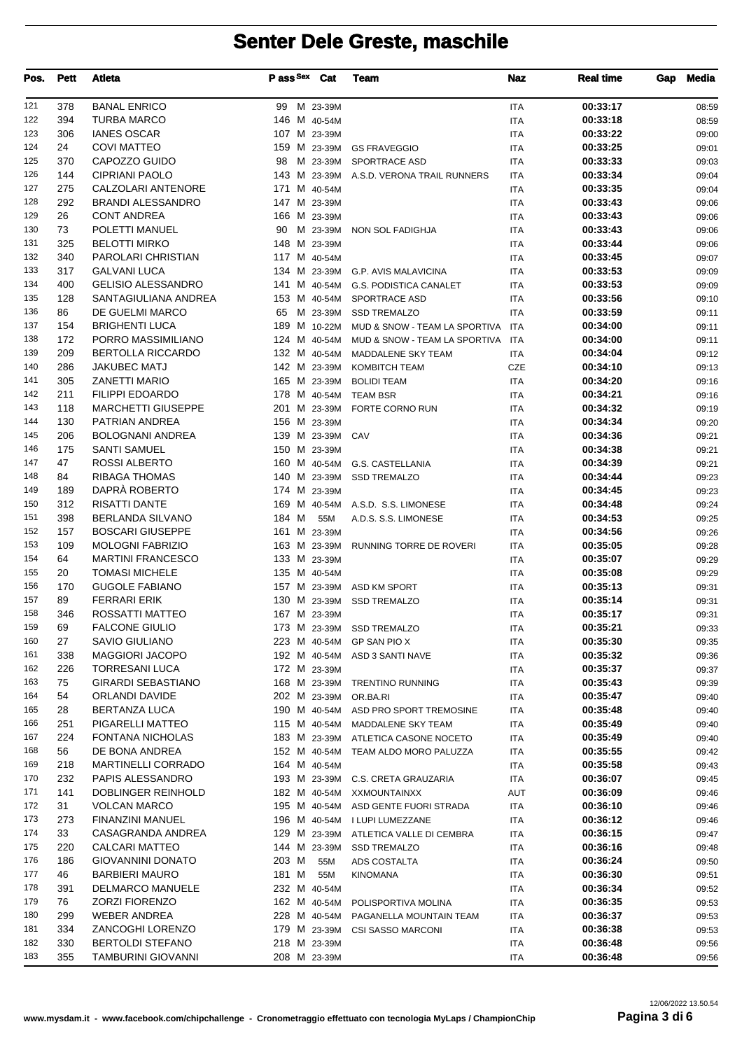| Pos.       | Pett       | Atleta                                      | P ass Sex          | Cat      | <b>Team</b>                                               | <b>Naz</b>               | <b>Real time</b>     | <b>Media</b><br>Gap |
|------------|------------|---------------------------------------------|--------------------|----------|-----------------------------------------------------------|--------------------------|----------------------|---------------------|
| 121        | 378        | <b>BANAL ENRICO</b>                         | 99 M 23-39M        |          |                                                           | <b>ITA</b>               | 00:33:17             | 08:59               |
| 122        | 394        | <b>TURBA MARCO</b>                          | 146 M 40-54M       |          |                                                           | <b>ITA</b>               | 00:33:18             | 08:59               |
| 123        | 306        | <b>IANES OSCAR</b>                          | 107 M 23-39M       |          |                                                           | <b>ITA</b>               | 00:33:22             | 09:00               |
| 124        | 24         | <b>COVI MATTEO</b>                          | 159 M 23-39M       |          | <b>GS FRAVEGGIO</b>                                       | <b>ITA</b>               | 00:33:25             | 09:01               |
| 125        | 370        | CAPOZZO GUIDO                               | 98                 | M 23-39M | SPORTRACE ASD                                             | <b>ITA</b>               | 00:33:33             | 09:03               |
| 126        | 144        | <b>CIPRIANI PAOLO</b>                       |                    |          | 143 M 23-39M A.S.D. VERONA TRAIL RUNNERS                  | <b>ITA</b>               | 00:33:34             | 09:04               |
| 127        | 275        | <b>CALZOLARI ANTENORE</b>                   | 171 M 40-54M       |          |                                                           | <b>ITA</b>               | 00:33:35             | 09:04               |
| 128        | 292        | <b>BRANDI ALESSANDRO</b>                    | 147 M 23-39M       |          |                                                           | <b>ITA</b>               | 00:33:43             | 09:06               |
| 129        | 26         | <b>CONT ANDREA</b>                          | 166 M 23-39M       |          |                                                           | <b>ITA</b>               | 00:33:43             | 09:06               |
| 130<br>131 | 73<br>325  | POLETTI MANUEL<br><b>BELOTTI MIRKO</b>      | 90<br>148 M 23-39M | M 23-39M | NON SOL FADIGHJA                                          | <b>ITA</b>               | 00:33:43<br>00:33:44 | 09:06               |
| 132        | 340        | PAROLARI CHRISTIAN                          | 117 M 40-54M       |          |                                                           | <b>ITA</b><br><b>ITA</b> | 00:33:45             | 09:06<br>09:07      |
| 133        | 317        | <b>GALVANI LUCA</b>                         | 134 M 23-39M       |          | <b>G.P. AVIS MALAVICINA</b>                               | <b>ITA</b>               | 00:33:53             | 09:09               |
| 134        | 400        | <b>GELISIO ALESSANDRO</b>                   | 141 M 40-54M       |          | <b>G.S. PODISTICA CANALET</b>                             | <b>ITA</b>               | 00:33:53             | 09:09               |
| 135        | 128        | SANTAGIULIANA ANDREA                        | 153 M 40-54M       |          | SPORTRACE ASD                                             | <b>ITA</b>               | 00:33:56             | 09:10               |
| 136        | 86         | DE GUELMI MARCO                             | 65                 | M 23-39M | <b>SSD TREMALZO</b>                                       | <b>ITA</b>               | 00:33:59             | 09:11               |
| 137        | 154        | <b>BRIGHENTI LUCA</b>                       | 189 M 10-22M       |          | MUD & SNOW - TEAM LA SPORTIVA                             | <b>ITA</b>               | 00:34:00             | 09:11               |
| 138        | 172        | PORRO MASSIMILIANO                          | 124 M 40-54M       |          | MUD & SNOW - TEAM LA SPORTIVA                             | ITA                      | 00:34:00             | 09:11               |
| 139        | 209        | <b>BERTOLLA RICCARDO</b>                    | 132 M 40-54M       |          | <b>MADDALENE SKY TEAM</b>                                 | <b>ITA</b>               | 00:34:04             | 09:12               |
| 140        | 286        | <b>JAKUBEC MATJ</b>                         | 142 M 23-39M       |          | <b>KOMBITCH TEAM</b>                                      | CZE                      | 00:34:10             | 09:13               |
| 141        | 305        | <b>ZANETTI MARIO</b>                        | 165 M 23-39M       |          | <b>BOLIDI TEAM</b>                                        | <b>ITA</b>               | 00:34:20             | 09:16               |
| 142        | 211        | <b>FILIPPI EDOARDO</b>                      | 178 M 40-54M       |          | <b>TEAM BSR</b>                                           | <b>ITA</b>               | 00:34:21             | 09:16               |
| 143        | 118        | <b>MARCHETTI GIUSEPPE</b>                   | 201 M 23-39M       |          | FORTE CORNO RUN                                           | <b>ITA</b>               | 00:34:32             | 09:19               |
| 144        | 130        | PATRIAN ANDREA                              | 156 M 23-39M       |          |                                                           | <b>ITA</b>               | 00:34:34             | 09:20               |
| 145        | 206        | <b>BOLOGNANI ANDREA</b>                     | 139 M 23-39M CAV   |          |                                                           | <b>ITA</b>               | 00:34:36             | 09:21               |
| 146        | 175        | <b>SANTI SAMUEL</b>                         | 150 M 23-39M       |          |                                                           | <b>ITA</b>               | 00:34:38             | 09:21               |
| 147        | 47         | ROSSI ALBERTO                               | 160 M 40-54M       |          | <b>G.S. CASTELLANIA</b>                                   | <b>ITA</b>               | 00:34:39             | 09:21               |
| 148        | 84         | <b>RIBAGA THOMAS</b><br>DAPRÀ ROBERTO       | 140 M 23-39M       |          | <b>SSD TREMALZO</b>                                       | <b>ITA</b>               | 00:34:44             | 09:23               |
| 149<br>150 | 189<br>312 | <b>RISATTI DANTE</b>                        | 174 M 23-39M       |          | 169 M 40-54M A.S.D. S.S. LIMONESE                         | <b>ITA</b>               | 00:34:45<br>00:34:48 | 09:23               |
| 151        | 398        | <b>BERLANDA SILVANO</b>                     | 184 M              | 55M      | A.D.S. S.S. LIMONESE                                      | <b>ITA</b><br><b>ITA</b> | 00:34:53             | 09:24<br>09:25      |
| 152        | 157        | <b>BOSCARI GIUSEPPE</b>                     | 161 M 23-39M       |          |                                                           | <b>ITA</b>               | 00:34:56             | 09:26               |
| 153        | 109        | <b>MOLOGNI FABRIZIO</b>                     | 163 M 23-39M       |          | RUNNING TORRE DE ROVERI                                   | <b>ITA</b>               | 00:35:05             | 09:28               |
| 154        | 64         | <b>MARTINI FRANCESCO</b>                    | 133 M 23-39M       |          |                                                           | <b>ITA</b>               | 00:35:07             | 09:29               |
| 155        | 20         | <b>TOMASI MICHELE</b>                       | 135 M 40-54M       |          |                                                           | <b>ITA</b>               | 00:35:08             | 09:29               |
| 156        | 170        | <b>GUGOLE FABIANO</b>                       |                    |          | 157 M 23-39M ASD KM SPORT                                 | <b>ITA</b>               | 00:35:13             | 09:31               |
| 157        | 89         | <b>FERRARI ERIK</b>                         | 130 M 23-39M       |          | <b>SSD TREMALZO</b>                                       | <b>ITA</b>               | 00:35:14             | 09:31               |
| 158        | 346        | ROSSATTI MATTEO                             | 167 M 23-39M       |          |                                                           | <b>ITA</b>               | 00:35:17             | 09:31               |
| 159        | 69         | <b>FALCONE GIULIO</b>                       | 173 M 23-39M       |          | <b>SSD TREMALZO</b>                                       | ITA                      | 00:35:21             | 09:33               |
| 160        | 27         | SAVIO GIULIANO                              | 223 M 40-54M       |          | GP SAN PIO X                                              | ITA                      | 00:35:30             | 09:35               |
| 161        | 338        | <b>MAGGIORI JACOPO</b>                      |                    |          | 192 M 40-54M ASD 3 SANTI NAVE                             | <b>ITA</b>               | 00:35:32             | 09:36               |
| 162        | 226        | <b>TORRESANI LUCA</b>                       | 172 M 23-39M       |          |                                                           | ITA                      | 00:35:37             | 09:37               |
| 163        | 75         | <b>GIRARDI SEBASTIANO</b>                   |                    |          | 168 M 23-39M TRENTINO RUNNING                             | ITA                      | 00:35:43             | 09:39               |
| 164        | 54         | ORLANDI DAVIDE                              | 202 M 23-39M       |          | OR.BA.RI                                                  | ITA                      | 00:35:47             | 09:40               |
| 165        | 28         | <b>BERTANZA LUCA</b>                        |                    |          | 190 M 40-54M ASD PRO SPORT TREMOSINE                      | ITA                      | 00:35:48             | 09:40               |
| 166<br>167 | 251<br>224 | PIGARELLI MATTEO<br><b>FONTANA NICHOLAS</b> | 115 M 40-54M       |          | MADDALENE SKY TEAM<br>183 M 23-39M ATLETICA CASONE NOCETO | <b>ITA</b>               | 00:35:49<br>00:35:49 | 09:40               |
| 168        | 56         | DE BONA ANDREA                              |                    |          | 152 M 40-54M TEAM ALDO MORO PALUZZA                       | <b>ITA</b><br>ITA        | 00:35:55             | 09:40<br>09:42      |
| 169        | 218        | <b>MARTINELLI CORRADO</b>                   | 164 M 40-54M       |          |                                                           | ITA                      | 00:35:58             | 09:43               |
| 170        | 232        | PAPIS ALESSANDRO                            |                    |          | 193 M 23-39M C.S. CRETA GRAUZARIA                         | ITA                      | 00:36:07             | 09:45               |
| 171        | 141        | DOBLINGER REINHOLD                          | 182 M 40-54M       |          | <b>XXMOUNTAINXX</b>                                       | AUT                      | 00:36:09             | 09:46               |
| 172        | 31         | <b>VOLCAN MARCO</b>                         | 195 M 40-54M       |          | ASD GENTE FUORI STRADA                                    | ITA                      | 00:36:10             | 09:46               |
| 173        | 273        | FINANZINI MANUEL                            |                    |          | 196 M 40-54M I LUPI LUMEZZANE                             | ITA                      | 00:36:12             | 09:46               |
| 174        | 33         | CASAGRANDA ANDREA                           |                    |          | 129 M 23-39M ATLETICA VALLE DI CEMBRA                     | ITA                      | 00:36:15             | 09:47               |
| 175        | 220        | CALCARI MATTEO                              | 144 M 23-39M       |          | <b>SSD TREMALZO</b>                                       | ITA                      | 00:36:16             | 09:48               |
| 176        | 186        | <b>GIOVANNINI DONATO</b>                    | 203 M              | 55M      | ADS COSTALTA                                              | ITA                      | 00:36:24             | 09:50               |
| 177        | 46         | <b>BARBIERI MAURO</b>                       | 181 M              | 55M      | <b>KINOMANA</b>                                           | ITA                      | 00:36:30             | 09:51               |
| 178        | 391        | <b>DELMARCO MANUELE</b>                     | 232 M 40-54M       |          |                                                           | <b>ITA</b>               | 00:36:34             | 09:52               |
| 179        | 76         | <b>ZORZI FIORENZO</b>                       | 162 M 40-54M       |          | POLISPORTIVA MOLINA                                       | <b>ITA</b>               | 00:36:35             | 09:53               |
| 180        | 299        | <b>WEBER ANDREA</b>                         | 228 M 40-54M       |          | PAGANELLA MOUNTAIN TEAM                                   | ITA                      | 00:36:37             | 09:53               |
| 181        | 334        | ZANCOGHI LORENZO                            | 179 M 23-39M       |          | <b>CSI SASSO MARCONI</b>                                  | ITA                      | 00:36:38             | 09:53               |
| 182        | 330        | <b>BERTOLDI STEFANO</b>                     | 218 M 23-39M       |          |                                                           | ITA                      | 00:36:48             | 09:56               |
| 183        | 355        | TAMBURINI GIOVANNI                          | 208 M 23-39M       |          |                                                           | ITA                      | 00:36:48             | 09:56               |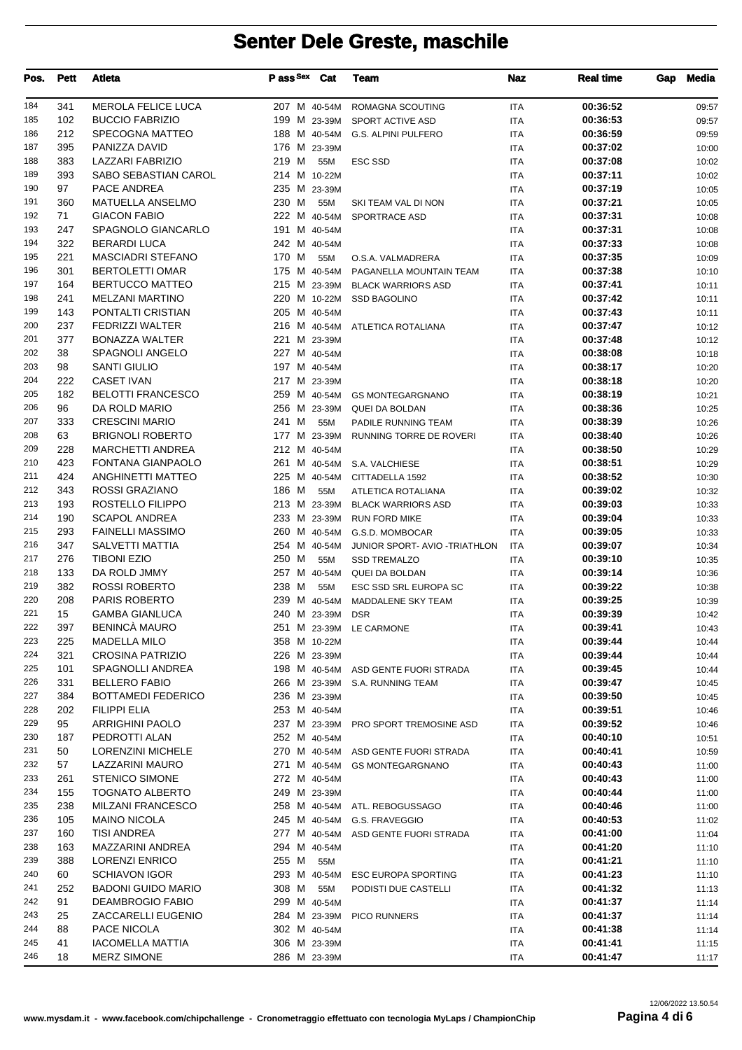| Pos.       | <b>Pett</b> | Atleta                                       | Pass Sex Cat                 |              | Team                                 | Naz                      | <b>Real time</b>     | Gap | <b>Media</b>   |
|------------|-------------|----------------------------------------------|------------------------------|--------------|--------------------------------------|--------------------------|----------------------|-----|----------------|
| 184        | 341         | <b>MEROLA FELICE LUCA</b>                    | 207 M 40-54M                 |              | ROMAGNA SCOUTING                     | <b>ITA</b>               | 00:36:52             |     | 09:57          |
| 185        | 102         | <b>BUCCIO FABRIZIO</b>                       | 199 M 23-39M                 |              | SPORT ACTIVE ASD                     | <b>ITA</b>               | 00:36:53             |     | 09:57          |
| 186        | 212         | SPECOGNA MATTEO                              | 188 M 40-54M                 |              | <b>G.S. ALPINI PULFERO</b>           | <b>ITA</b>               | 00:36:59             |     | 09:59          |
| 187        | 395         | PANIZZA DAVID                                | 176 M 23-39M                 |              |                                      | <b>ITA</b>               | 00:37:02             |     | 10:00          |
| 188        | 383         | LAZZARI FABRIZIO                             | 219 M                        | 55M          | <b>ESC SSD</b>                       | <b>ITA</b>               | 00:37:08             |     | 10:02          |
| 189        | 393         | SABO SEBASTIAN CAROL                         | 214 M 10-22M                 |              |                                      | <b>ITA</b>               | 00:37:11             |     | 10:02          |
| 190        | 97          | PACE ANDREA                                  | 235 M 23-39M                 |              |                                      | <b>ITA</b>               | 00:37:19             |     | 10:05          |
| 191        | 360         | <b>MATUELLA ANSELMO</b>                      | 230 M                        | 55M          | SKI TEAM VAL DI NON                  | <b>ITA</b>               | 00:37:21             |     | 10:05          |
| 192        | 71          | <b>GIACON FABIO</b>                          | 222 M 40-54M                 |              | SPORTRACE ASD                        | <b>ITA</b>               | 00:37:31             |     | 10:08          |
| 193        | 247         | SPAGNOLO GIANCARLO                           | 191 M 40-54M                 |              |                                      | <b>ITA</b>               | 00:37:31             |     | 10:08          |
| 194        | 322         | <b>BERARDI LUCA</b>                          | 242 M 40-54M                 |              |                                      | <b>ITA</b>               | 00:37:33             |     | 10:08          |
| 195        | 221         | <b>MASCIADRI STEFANO</b>                     | 170 M                        | 55M          | O.S.A. VALMADRERA                    | <b>ITA</b>               | 00:37:35             |     | 10:09          |
| 196        | 301         | <b>BERTOLETTI OMAR</b>                       | 175 M 40-54M                 |              | PAGANELLA MOUNTAIN TEAM              | <b>ITA</b>               | 00:37:38             |     | 10:10          |
| 197        | 164         | BERTUCCO MATTEO                              |                              | 215 M 23-39M | <b>BLACK WARRIORS ASD</b>            | ITA                      | 00:37:41             |     | 10:11          |
| 198        | 241         | <b>MELZANI MARTINO</b>                       | 220 M 10-22M                 |              | <b>SSD BAGOLINO</b>                  | <b>ITA</b>               | 00:37:42             |     | 10:11          |
| 199        | 143         | PONTALTI CRISTIAN                            | 205 M 40-54M                 |              |                                      | <b>ITA</b>               | 00:37:43             |     | 10:11          |
| 200        | 237         | <b>FEDRIZZI WALTER</b>                       |                              |              | 216 M 40-54M ATLETICA ROTALIANA      | <b>ITA</b>               | 00:37:47             |     | 10:12          |
| 201        | 377         | <b>BONAZZA WALTER</b>                        | 221 M 23-39M                 |              |                                      | <b>ITA</b>               | 00:37:48             |     | 10:12          |
| 202        | 38          | <b>SPAGNOLI ANGELO</b>                       | 227 M 40-54M                 |              |                                      | <b>ITA</b>               | 00:38:08             |     | 10:18          |
| 203        | 98          | <b>SANTI GIULIO</b>                          | 197 M 40-54M                 |              |                                      | <b>ITA</b>               | 00:38:17             |     | 10:20          |
| 204        | 222         | <b>CASET IVAN</b>                            | 217 M 23-39M                 |              |                                      | <b>ITA</b>               | 00:38:18             |     | 10:20          |
| 205        | 182         | <b>BELOTTI FRANCESCO</b>                     |                              |              | 259 M 40-54M GS MONTEGARGNANO        | <b>ITA</b>               | 00:38:19             |     | 10:21          |
| 206        | 96          | DA ROLD MARIO                                |                              |              | 256 M 23-39M QUEI DA BOLDAN          | <b>ITA</b>               | 00:38:36             |     | 10:25          |
| 207        | 333         | <b>CRESCINI MARIO</b>                        | 241 M                        | 55M          | PADILE RUNNING TEAM                  | <b>ITA</b>               | 00:38:39             |     | 10:26          |
| 208<br>209 | 63          | <b>BRIGNOLI ROBERTO</b>                      | 177 M 23-39M                 |              | RUNNING TORRE DE ROVERI              | <b>ITA</b>               | 00:38:40             |     | 10:26          |
| 210        | 228<br>423  | <b>MARCHETTI ANDREA</b><br>FONTANA GIANPAOLO | 212 M 40-54M<br>261 M 40-54M |              |                                      | <b>ITA</b>               | 00:38:50<br>00:38:51 |     | 10:29          |
| 211        | 424         | <b>ANGHINETTI MATTEO</b>                     | 225 M 40-54M                 |              | S.A. VALCHIESE<br>CITTADELLA 1592    | <b>ITA</b><br><b>ITA</b> | 00:38:52             |     | 10:29<br>10:30 |
| 212        | 343         | ROSSI GRAZIANO                               | 186 M                        | 55M          | ATLETICA ROTALIANA                   | <b>ITA</b>               | 00:39:02             |     | 10:32          |
| 213        | 193         | ROSTELLO FILIPPO                             | 213 M 23-39M                 |              | <b>BLACK WARRIORS ASD</b>            | <b>ITA</b>               | 00:39:03             |     | 10:33          |
| 214        | 190         | <b>SCAPOL ANDREA</b>                         | 233 M 23-39M                 |              | <b>RUN FORD MIKE</b>                 | <b>ITA</b>               | 00:39:04             |     | 10:33          |
| 215        | 293         | <b>FAINELLI MASSIMO</b>                      | 260 M 40-54M                 |              | G.S.D. MOMBOCAR                      | <b>ITA</b>               | 00:39:05             |     | 10:33          |
| 216        | 347         | SALVETTI MATTIA                              | 254 M 40-54M                 |              | JUNIOR SPORT- AVIO -TRIATHLON        | <b>ITA</b>               | 00:39:07             |     | 10:34          |
| 217        | 276         | <b>TIBONI EZIO</b>                           | 250 M                        | 55M          | <b>SSD TREMALZO</b>                  | <b>ITA</b>               | 00:39:10             |     | 10:35          |
| 218        | 133         | DA ROLD JMMY                                 | 257 M 40-54M                 |              | QUEI DA BOLDAN                       | <b>ITA</b>               | 00:39:14             |     | 10:36          |
| 219        | 382         | <b>ROSSI ROBERTO</b>                         | 238 M                        | 55M          | <b>ESC SSD SRL EUROPA SC</b>         | <b>ITA</b>               | 00:39:22             |     | 10:38          |
| 220        | 208         | PARIS ROBERTO                                | 239 M 40-54M                 |              | MADDALENE SKY TEAM                   | <b>ITA</b>               | 00:39:25             |     | 10:39          |
| 221        | 15          | <b>GAMBA GIANLUCA</b>                        |                              | 240 M 23-39M | <b>DSR</b>                           | <b>ITA</b>               | 00:39:39             |     | 10:42          |
| 222        | 397         | <b>BENINCÀ MAURO</b>                         |                              |              | 251 M 23-39M LE CARMONE              | <b>ITA</b>               | 00:39:41             |     | 10:43          |
| 223        | 225         | <b>MADELLA MILO</b>                          | 358 M 10-22M                 |              |                                      | ITA                      | 00:39:44             |     | 10:44          |
| 224        | 321         | <b>CROSINA PATRIZIO</b>                      | 226 M 23-39M                 |              |                                      | ITA                      | 00:39:44             |     | 10:44          |
| 225        | 101         | SPAGNOLLI ANDREA                             |                              |              | 198 M 40-54M ASD GENTE FUORI STRADA  | <b>ITA</b>               | 00:39:45             |     | 10:44          |
| 226        | 331         | <b>BELLERO FABIO</b>                         |                              |              | 266 M 23-39M S.A. RUNNING TEAM       | ITA                      | 00:39:47             |     | 10:45          |
| 227        | 384         | <b>BOTTAMEDI FEDERICO</b>                    | 236 M 23-39M                 |              |                                      | ITA                      | 00:39:50             |     | 10:45          |
| 228        | 202         | <b>FILIPPI ELIA</b>                          | 253 M 40-54M                 |              |                                      | <b>ITA</b>               | 00:39:51             |     | 10:46          |
| 229        | 95          | <b>ARRIGHINI PAOLO</b>                       |                              |              | 237 M 23-39M PRO SPORT TREMOSINE ASD | ITA                      | 00:39:52             |     | 10:46          |
| 230        | 187         | PEDROTTI ALAN                                | 252 M 40-54M                 |              |                                      | ITA                      | 00:40:10             |     | 10:51          |
| 231        | 50          | LORENZINI MICHELE                            |                              |              | 270 M 40-54M ASD GENTE FUORI STRADA  | <b>ITA</b>               | 00:40:41             |     | 10:59          |
| 232        | 57          | LAZZARINI MAURO                              |                              |              | 271 M 40-54M GS MONTEGARGNANO        | ITA                      | 00:40:43             |     | 11:00          |
| 233        | 261         | <b>STENICO SIMONE</b>                        | 272 M 40-54M                 |              |                                      | ITA                      | 00:40:43             |     | 11:00          |
| 234        | 155         | <b>TOGNATO ALBERTO</b>                       | 249 M 23-39M                 |              |                                      | <b>ITA</b>               | 00:40:44             |     | 11:00          |
| 235        | 238         | MILZANI FRANCESCO                            |                              |              | 258 M 40-54M ATL. REBOGUSSAGO        | ITA                      | 00:40:46             |     | 11:00          |
| 236        | 105         | <b>MAINO NICOLA</b>                          |                              |              | 245 M 40-54M G.S. FRAVEGGIO          | <b>ITA</b>               | 00:40:53             |     | 11:02          |
| 237        | 160         | <b>TISI ANDREA</b>                           |                              |              | 277 M 40-54M ASD GENTE FUORI STRADA  | <b>ITA</b>               | 00:41:00             |     | 11:04          |
| 238        | 163         | MAZZARINI ANDREA                             | 294 M 40-54M                 |              |                                      | ITA                      | 00:41:20             |     | 11:10          |
| 239        | 388         | LORENZI ENRICO                               | 255 M                        | 55M          |                                      | <b>ITA</b>               | 00:41:21             |     | 11:10          |
| 240        | 60          | <b>SCHIAVON IGOR</b>                         | 293 M 40-54M                 |              | <b>ESC EUROPA SPORTING</b>           | <b>ITA</b>               | 00:41:23             |     | 11:10          |
| 241        | 252         | <b>BADONI GUIDO MARIO</b>                    | 308 M                        | 55M          | PODISTI DUE CASTELLI                 | ITA                      | 00:41:32             |     | 11:13          |
| 242        | 91          | <b>DEAMBROGIO FABIO</b>                      | 299 M 40-54M                 |              |                                      | ITA                      | 00:41:37             |     | 11:14          |
| 243        | 25          | ZACCARELLI EUGENIO                           |                              | 284 M 23-39M | PICO RUNNERS                         | <b>ITA</b>               | 00:41:37             |     | 11:14          |
| 244        | 88          | PACE NICOLA                                  | 302 M 40-54M                 |              |                                      | ITA                      | 00:41:38             |     | 11:14          |
| 245        | 41          | <b>IACOMELLA MATTIA</b>                      | 306 M 23-39M                 |              |                                      | <b>ITA</b>               | 00:41:41             |     | 11:15          |
| 246        | 18          | <b>MERZ SIMONE</b>                           | 286 M 23-39M                 |              |                                      | ITA                      | 00:41:47             |     | 11:17          |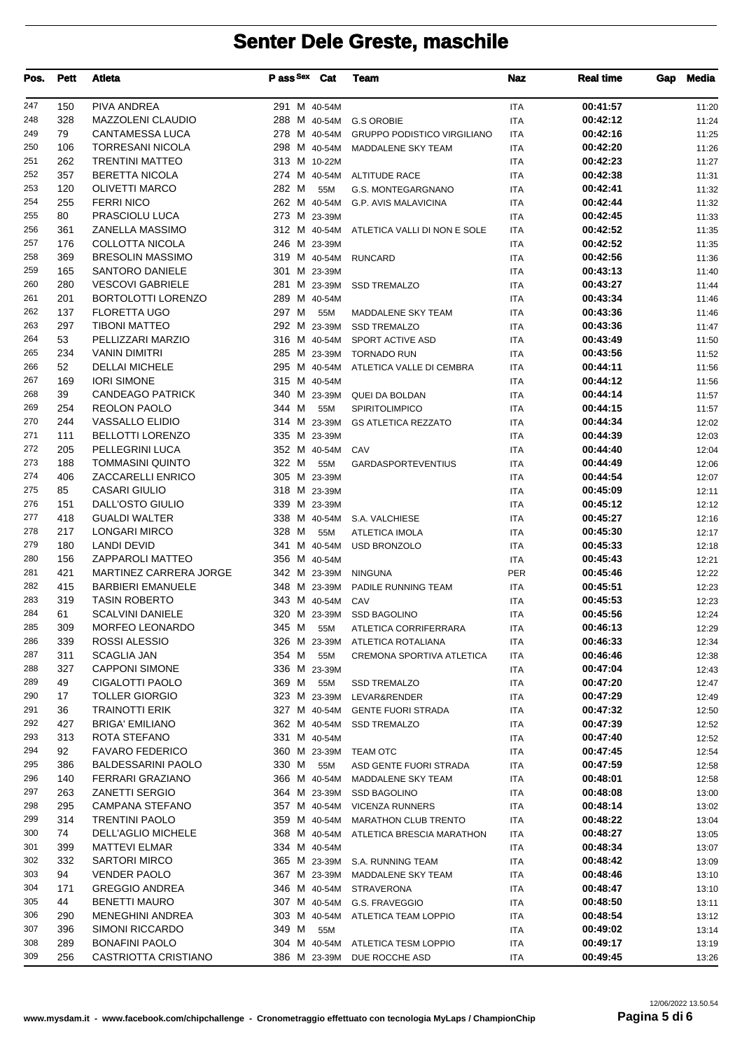| 247<br>150<br>PIVA ANDREA<br>00:41:57<br>291 M 40-54M<br><b>ITA</b><br>11:20<br>248<br>328<br><b>MAZZOLENI CLAUDIO</b><br>00:42:12<br>288 M 40-54M G.S OROBIE<br><b>ITA</b><br>11:24<br>249<br>79<br><b>CANTAMESSA LUCA</b><br>00:42:16<br>278 M 40-54M<br><b>GRUPPO PODISTICO VIRGILIANO</b><br><b>ITA</b><br>11:25<br>250<br><b>TORRESANI NICOLA</b><br>298 M 40-54M<br>00:42:20<br>106<br>MADDALENE SKY TEAM<br><b>ITA</b><br>11:26<br>251<br>262<br><b>TRENTINI MATTEO</b><br>313 M 10-22M<br>00:42:23<br><b>ITA</b><br>11:27<br>252<br>357<br><b>BERETTA NICOLA</b><br>274 M 40-54M ALTITUDE RACE<br>00:42:38<br><b>ITA</b><br>11:31<br>253<br>120<br><b>OLIVETTI MARCO</b><br>282 M<br>00:42:41<br>55M<br>G.S. MONTEGARGNANO<br><b>ITA</b><br>11:32<br>254<br><b>FERRI NICO</b><br>255<br>262 M 40-54M G.P. AVIS MALAVICINA<br><b>ITA</b><br>00:42:44<br>11:32<br>255<br>80<br>PRASCIOLU LUCA<br>273 M 23-39M<br>00:42:45<br><b>ITA</b><br>11:33<br>256<br>361<br>ZANELLA MASSIMO<br>312 M 40-54M ATLETICA VALLI DI NON E SOLE<br>00:42:52<br><b>ITA</b><br>11:35<br>COLLOTTA NICOLA<br>246 M 23-39M<br>00:42:52<br>257<br>176<br><b>ITA</b><br>11:35<br>258<br>369<br><b>BRESOLIN MASSIMO</b><br>319 M 40-54M RUNCARD<br>00:42:56<br><b>ITA</b><br>11:36<br>259<br>165<br><b>SANTORO DANIELE</b><br>301 M 23-39M<br>00:43:13<br><b>ITA</b><br>11:40<br><b>VESCOVI GABRIELE</b><br>260<br>280<br>281 M 23-39M SSD TREMALZO<br><b>ITA</b><br>00:43:27<br>11:44<br>201<br><b>BORTOLOTTI LORENZO</b><br>261<br>289 M 40-54M<br>00:43:34<br><b>ITA</b><br>11:46<br>262<br><b>FLORETTA UGO</b><br>137<br>297 M<br>00:43:36<br>55M<br><b>ITA</b><br>11:46<br>MADDALENE SKY TEAM<br>297<br><b>TIBONI MATTEO</b><br>292 M 23-39M<br>00:43:36<br>263<br><b>SSD TREMALZO</b><br><b>ITA</b><br>11:47<br>264<br>53<br>PELLIZZARI MARZIO<br>316 M 40-54M<br>00:43:49<br>SPORT ACTIVE ASD<br><b>ITA</b><br>11:50<br>265<br>234<br><b>VANIN DIMITRI</b><br>285 M 23-39M<br><b>TORNADO RUN</b><br><b>ITA</b><br>00:43:56<br>11:52<br>52<br><b>DELLAI MICHELE</b><br>266<br>295 M 40-54M<br>ATLETICA VALLE DI CEMBRA<br><b>ITA</b><br>00:44:11<br>11:56<br>267<br>169<br><b>IORI SIMONE</b><br>315 M 40-54M<br>00:44:12<br><b>ITA</b><br>11:56<br>268<br>39<br><b>CANDEAGO PATRICK</b><br>340 M 23-39M QUEI DA BOLDAN<br>00:44:14<br><b>ITA</b><br>11:57<br><b>REOLON PAOLO</b><br>344 M<br>269<br>254<br>55M<br><b>SPIRITOLIMPICO</b><br><b>ITA</b><br>00:44:15<br>11:57<br>270<br>244<br><b>VASSALLO ELIDIO</b><br>314 M 23-39M<br>00:44:34<br><b>ITA</b><br>12:02<br><b>GS ATLETICA REZZATO</b><br>271<br>111<br><b>BELLOTTI LORENZO</b><br>335 M 23-39M<br><b>ITA</b><br>00:44:39<br>12:03<br>272<br>205<br>PELLEGRINI LUCA<br>352 M 40-54M CAV<br>00:44:40<br><b>ITA</b><br>12:04<br>273<br>188<br><b>TOMMASINI QUINTO</b><br>322 M<br>00:44:49<br>55M<br><b>ITA</b><br>12:06<br><b>GARDASPORTEVENTIUS</b><br>274<br>ZACCARELLI ENRICO<br>406<br>305 M 23-39M<br>00:44:54<br><b>ITA</b><br>12:07<br>275<br>85<br><b>CASARI GIULIO</b><br>318 M 23-39M<br>00:45:09<br><b>ITA</b><br>12:11<br>276<br>151<br>DALL'OSTO GIULIO<br>339 M 23-39M<br>00:45:12<br><b>ITA</b><br>12:12<br>277<br>418<br><b>GUALDI WALTER</b><br>00:45:27<br>338 M 40-54M S.A. VALCHIESE<br><b>ITA</b><br>12:16<br><b>LONGARI MIRCO</b><br>278<br>217<br>328 M<br>55M<br>00:45:30<br><b>ATLETICA IMOLA</b><br><b>ITA</b><br>12:17<br>279<br>180<br><b>LANDI DEVID</b><br>341 M 40-54M<br>00:45:33<br>USD BRONZOLO<br><b>ITA</b><br>12:18<br>280<br>156<br>ZAPPAROLI MATTEO<br>356 M 40-54M<br><b>ITA</b><br>00:45:43<br>12:21<br>MARTINEZ CARRERA JORGE<br>281<br>421<br>342 M 23-39M<br><b>PER</b><br>00:45:46<br><b>NINGUNA</b><br>12:22<br>282<br>415<br><b>BARBIERI EMANUELE</b><br>00:45:51<br>348 M 23-39M<br>PADILE RUNNING TEAM<br><b>ITA</b><br>12:23<br><b>TASIN ROBERTO</b><br>283<br>319<br>00:45:53<br>343 M 40-54M<br>CAV<br><b>ITA</b><br>12:23<br><b>SCALVINI DANIELE</b><br>284<br>61<br>320 M 23-39M SSD BAGOLINO<br>00:45:56<br><b>ITA</b><br>12:24<br>285<br>309<br>MORFEO LEONARDO<br>345 M<br>00:46:13<br>55M<br>ATLETICA CORRIFERRARA<br><b>ITA</b><br>12:29<br>ROSSI ALESSIO<br>286<br>339<br>326 M 23-39M<br>00:46:33<br>ATLETICA ROTALIANA<br>ITA<br>12:34<br>287<br>311<br>SCAGLIA JAN<br>354 M<br>00:46:46<br>55M<br>12:38<br>CREMONA SPORTIVA ATLETICA<br>ITA<br>288<br>327<br><b>CAPPONI SIMONE</b><br>336 M 23-39M<br>00:47:04<br>ITA<br>12:43<br>CIGALOTTI PAOLO<br>289<br>49<br>369 M<br>55M<br><b>SSD TREMALZO</b><br>ITA<br>00:47:20<br>12:47<br><b>TOLLER GIORGIO</b><br>290<br>17<br>323 M 23-39M<br>00:47:29<br>LEVAR&RENDER<br>ITA<br>12:49<br>291<br>36<br><b>TRAINOTTI ERIK</b><br>327 M 40-54M<br>00:47:32<br><b>GENTE FUORI STRADA</b><br>ITA<br>12:50<br>292<br><b>BRIGA' EMILIANO</b><br>427<br>362 M 40-54M<br>00:47:39<br><b>SSD TREMALZO</b><br>ITA<br>12:52<br>ROTA STEFANO<br>293<br>313<br>331 M 40-54M<br>00:47:40<br>ITA<br>12:52<br>92<br>294<br><b>FAVARO FEDERICO</b><br>360 M 23-39M<br>00:47:45<br><b>TEAM OTC</b><br>ITA<br>12:54<br>295<br>386<br><b>BALDESSARINI PAOLO</b><br>330 M<br>55M<br>00:47:59<br>ASD GENTE FUORI STRADA<br>ITA<br>12:58<br>296<br>140<br>FERRARI GRAZIANO<br>366 M 40-54M<br>MADDALENE SKY TEAM<br>00:48:01<br>ITA<br>12:58<br>263<br>297<br><b>ZANETTI SERGIO</b><br>364 M 23-39M<br>00:48:08<br><b>SSD BAGOLINO</b><br>ITA<br>13:00<br>298<br>295<br>CAMPANA STEFANO<br>357 M 40-54M VICENZA RUNNERS<br>ITA<br>00:48:14<br>13:02<br>299<br>314<br><b>TRENTINI PAOLO</b><br>00:48:22<br>359 M 40-54M<br><b>ITA</b><br><b>MARATHON CLUB TRENTO</b><br>13:04<br>300<br>74<br>DELL'AGLIO MICHELE<br>368 M 40-54M<br>00:48:27<br>ATLETICA BRESCIA MARATHON<br>13:05<br>ITA<br>301<br>399<br><b>MATTEVI ELMAR</b><br>334 M 40-54M<br>00:48:34<br>ITA<br>13:07<br>302<br>332<br><b>SARTORI MIRCO</b><br>365 M 23-39M S.A. RUNNING TEAM<br>00:48:42<br>ITA<br>13:09<br>303<br>94<br><b>VENDER PAOLO</b><br>367 M 23-39M<br>00:48:46<br>MADDALENE SKY TEAM<br>ITA<br>13:10<br>304<br>171<br><b>GREGGIO ANDREA</b><br>346 M 40-54M STRAVERONA<br>00:48:47<br>ITA<br>13:10<br>305<br>44<br><b>BENETTI MAURO</b><br>307 M 40-54M G.S. FRAVEGGIO<br>00:48:50<br>ITA<br>13:11<br>306<br><b>MENEGHINI ANDREA</b><br>290<br>303 M 40-54M<br>00:48:54<br>ATLETICA TEAM LOPPIO<br>ITA<br>13:12<br>307<br>396<br>SIMONI RICCARDO<br>349 M<br>55M<br>ITA<br>00:49:02<br>13:14<br>308<br>289<br><b>BONAFINI PAOLO</b><br>00:49:17<br>304 M 40-54M ATLETICA TESM LOPPIO<br>ITA<br>13:19<br>256<br><b>CASTRIOTTA CRISTIANO</b><br>309<br>00:49:45<br>386 M 23-39M<br>DUE ROCCHE ASD<br>ITA<br>13:26 | Pos. | <b>Pett</b> | <b>Atleta</b> | P ass Sex | Cat | <b>Team</b> | <b>Naz</b> | <b>Real time</b> | Gap | <b>Media</b> |
|--------------------------------------------------------------------------------------------------------------------------------------------------------------------------------------------------------------------------------------------------------------------------------------------------------------------------------------------------------------------------------------------------------------------------------------------------------------------------------------------------------------------------------------------------------------------------------------------------------------------------------------------------------------------------------------------------------------------------------------------------------------------------------------------------------------------------------------------------------------------------------------------------------------------------------------------------------------------------------------------------------------------------------------------------------------------------------------------------------------------------------------------------------------------------------------------------------------------------------------------------------------------------------------------------------------------------------------------------------------------------------------------------------------------------------------------------------------------------------------------------------------------------------------------------------------------------------------------------------------------------------------------------------------------------------------------------------------------------------------------------------------------------------------------------------------------------------------------------------------------------------------------------------------------------------------------------------------------------------------------------------------------------------------------------------------------------------------------------------------------------------------------------------------------------------------------------------------------------------------------------------------------------------------------------------------------------------------------------------------------------------------------------------------------------------------------------------------------------------------------------------------------------------------------------------------------------------------------------------------------------------------------------------------------------------------------------------------------------------------------------------------------------------------------------------------------------------------------------------------------------------------------------------------------------------------------------------------------------------------------------------------------------------------------------------------------------------------------------------------------------------------------------------------------------------------------------------------------------------------------------------------------------------------------------------------------------------------------------------------------------------------------------------------------------------------------------------------------------------------------------------------------------------------------------------------------------------------------------------------------------------------------------------------------------------------------------------------------------------------------------------------------------------------------------------------------------------------------------------------------------------------------------------------------------------------------------------------------------------------------------------------------------------------------------------------------------------------------------------------------------------------------------------------------------------------------------------------------------------------------------------------------------------------------------------------------------------------------------------------------------------------------------------------------------------------------------------------------------------------------------------------------------------------------------------------------------------------------------------------------------------------------------------------------------------------------------------------------------------------------------------------------------------------------------------------------------------------------------------------------------------------------------------------------------------------------------------------------------------------------------------------------------------------------------------------------------------------------------------------------------------------------------------------------------------------------------------------------------------------------------------------------------------------------------------------------------------------------------------------------------------------------------------------------------------------------------------------------------------------------------------------------------------------------------------------------------------------------------------------------------------------------------------------------------------------------------------------------------------------------------------------------------------------------------------------------------------------------------------------------------------------------------------------------------------------------------------------------------------------------------------------------------------------------------------------------------------------------------------------------------------------------------------------------------------------------------------------------------------------------------------------------------------------------------------------------------------------------------------------------------------------------------------------------------------------------------------------------------------------------------------------------------------------------------------------------------------------------------------------------------------------|------|-------------|---------------|-----------|-----|-------------|------------|------------------|-----|--------------|
|                                                                                                                                                                                                                                                                                                                                                                                                                                                                                                                                                                                                                                                                                                                                                                                                                                                                                                                                                                                                                                                                                                                                                                                                                                                                                                                                                                                                                                                                                                                                                                                                                                                                                                                                                                                                                                                                                                                                                                                                                                                                                                                                                                                                                                                                                                                                                                                                                                                                                                                                                                                                                                                                                                                                                                                                                                                                                                                                                                                                                                                                                                                                                                                                                                                                                                                                                                                                                                                                                                                                                                                                                                                                                                                                                                                                                                                                                                                                                                                                                                                                                                                                                                                                                                                                                                                                                                                                                                                                                                                                                                                                                                                                                                                                                                                                                                                                                                                                                                                                                                                                                                                                                                                                                                                                                                                                                                                                                                                                                                                                                                                                                                                                                                                                                                                                                                                                                                                                                                                                                                                                                                                                                                                                                                                                                                                                                                                                                                                                                                                                                                                                                                      |      |             |               |           |     |             |            |                  |     |              |
|                                                                                                                                                                                                                                                                                                                                                                                                                                                                                                                                                                                                                                                                                                                                                                                                                                                                                                                                                                                                                                                                                                                                                                                                                                                                                                                                                                                                                                                                                                                                                                                                                                                                                                                                                                                                                                                                                                                                                                                                                                                                                                                                                                                                                                                                                                                                                                                                                                                                                                                                                                                                                                                                                                                                                                                                                                                                                                                                                                                                                                                                                                                                                                                                                                                                                                                                                                                                                                                                                                                                                                                                                                                                                                                                                                                                                                                                                                                                                                                                                                                                                                                                                                                                                                                                                                                                                                                                                                                                                                                                                                                                                                                                                                                                                                                                                                                                                                                                                                                                                                                                                                                                                                                                                                                                                                                                                                                                                                                                                                                                                                                                                                                                                                                                                                                                                                                                                                                                                                                                                                                                                                                                                                                                                                                                                                                                                                                                                                                                                                                                                                                                                                      |      |             |               |           |     |             |            |                  |     |              |
|                                                                                                                                                                                                                                                                                                                                                                                                                                                                                                                                                                                                                                                                                                                                                                                                                                                                                                                                                                                                                                                                                                                                                                                                                                                                                                                                                                                                                                                                                                                                                                                                                                                                                                                                                                                                                                                                                                                                                                                                                                                                                                                                                                                                                                                                                                                                                                                                                                                                                                                                                                                                                                                                                                                                                                                                                                                                                                                                                                                                                                                                                                                                                                                                                                                                                                                                                                                                                                                                                                                                                                                                                                                                                                                                                                                                                                                                                                                                                                                                                                                                                                                                                                                                                                                                                                                                                                                                                                                                                                                                                                                                                                                                                                                                                                                                                                                                                                                                                                                                                                                                                                                                                                                                                                                                                                                                                                                                                                                                                                                                                                                                                                                                                                                                                                                                                                                                                                                                                                                                                                                                                                                                                                                                                                                                                                                                                                                                                                                                                                                                                                                                                                      |      |             |               |           |     |             |            |                  |     |              |
|                                                                                                                                                                                                                                                                                                                                                                                                                                                                                                                                                                                                                                                                                                                                                                                                                                                                                                                                                                                                                                                                                                                                                                                                                                                                                                                                                                                                                                                                                                                                                                                                                                                                                                                                                                                                                                                                                                                                                                                                                                                                                                                                                                                                                                                                                                                                                                                                                                                                                                                                                                                                                                                                                                                                                                                                                                                                                                                                                                                                                                                                                                                                                                                                                                                                                                                                                                                                                                                                                                                                                                                                                                                                                                                                                                                                                                                                                                                                                                                                                                                                                                                                                                                                                                                                                                                                                                                                                                                                                                                                                                                                                                                                                                                                                                                                                                                                                                                                                                                                                                                                                                                                                                                                                                                                                                                                                                                                                                                                                                                                                                                                                                                                                                                                                                                                                                                                                                                                                                                                                                                                                                                                                                                                                                                                                                                                                                                                                                                                                                                                                                                                                                      |      |             |               |           |     |             |            |                  |     |              |
|                                                                                                                                                                                                                                                                                                                                                                                                                                                                                                                                                                                                                                                                                                                                                                                                                                                                                                                                                                                                                                                                                                                                                                                                                                                                                                                                                                                                                                                                                                                                                                                                                                                                                                                                                                                                                                                                                                                                                                                                                                                                                                                                                                                                                                                                                                                                                                                                                                                                                                                                                                                                                                                                                                                                                                                                                                                                                                                                                                                                                                                                                                                                                                                                                                                                                                                                                                                                                                                                                                                                                                                                                                                                                                                                                                                                                                                                                                                                                                                                                                                                                                                                                                                                                                                                                                                                                                                                                                                                                                                                                                                                                                                                                                                                                                                                                                                                                                                                                                                                                                                                                                                                                                                                                                                                                                                                                                                                                                                                                                                                                                                                                                                                                                                                                                                                                                                                                                                                                                                                                                                                                                                                                                                                                                                                                                                                                                                                                                                                                                                                                                                                                                      |      |             |               |           |     |             |            |                  |     |              |
|                                                                                                                                                                                                                                                                                                                                                                                                                                                                                                                                                                                                                                                                                                                                                                                                                                                                                                                                                                                                                                                                                                                                                                                                                                                                                                                                                                                                                                                                                                                                                                                                                                                                                                                                                                                                                                                                                                                                                                                                                                                                                                                                                                                                                                                                                                                                                                                                                                                                                                                                                                                                                                                                                                                                                                                                                                                                                                                                                                                                                                                                                                                                                                                                                                                                                                                                                                                                                                                                                                                                                                                                                                                                                                                                                                                                                                                                                                                                                                                                                                                                                                                                                                                                                                                                                                                                                                                                                                                                                                                                                                                                                                                                                                                                                                                                                                                                                                                                                                                                                                                                                                                                                                                                                                                                                                                                                                                                                                                                                                                                                                                                                                                                                                                                                                                                                                                                                                                                                                                                                                                                                                                                                                                                                                                                                                                                                                                                                                                                                                                                                                                                                                      |      |             |               |           |     |             |            |                  |     |              |
|                                                                                                                                                                                                                                                                                                                                                                                                                                                                                                                                                                                                                                                                                                                                                                                                                                                                                                                                                                                                                                                                                                                                                                                                                                                                                                                                                                                                                                                                                                                                                                                                                                                                                                                                                                                                                                                                                                                                                                                                                                                                                                                                                                                                                                                                                                                                                                                                                                                                                                                                                                                                                                                                                                                                                                                                                                                                                                                                                                                                                                                                                                                                                                                                                                                                                                                                                                                                                                                                                                                                                                                                                                                                                                                                                                                                                                                                                                                                                                                                                                                                                                                                                                                                                                                                                                                                                                                                                                                                                                                                                                                                                                                                                                                                                                                                                                                                                                                                                                                                                                                                                                                                                                                                                                                                                                                                                                                                                                                                                                                                                                                                                                                                                                                                                                                                                                                                                                                                                                                                                                                                                                                                                                                                                                                                                                                                                                                                                                                                                                                                                                                                                                      |      |             |               |           |     |             |            |                  |     |              |
|                                                                                                                                                                                                                                                                                                                                                                                                                                                                                                                                                                                                                                                                                                                                                                                                                                                                                                                                                                                                                                                                                                                                                                                                                                                                                                                                                                                                                                                                                                                                                                                                                                                                                                                                                                                                                                                                                                                                                                                                                                                                                                                                                                                                                                                                                                                                                                                                                                                                                                                                                                                                                                                                                                                                                                                                                                                                                                                                                                                                                                                                                                                                                                                                                                                                                                                                                                                                                                                                                                                                                                                                                                                                                                                                                                                                                                                                                                                                                                                                                                                                                                                                                                                                                                                                                                                                                                                                                                                                                                                                                                                                                                                                                                                                                                                                                                                                                                                                                                                                                                                                                                                                                                                                                                                                                                                                                                                                                                                                                                                                                                                                                                                                                                                                                                                                                                                                                                                                                                                                                                                                                                                                                                                                                                                                                                                                                                                                                                                                                                                                                                                                                                      |      |             |               |           |     |             |            |                  |     |              |
|                                                                                                                                                                                                                                                                                                                                                                                                                                                                                                                                                                                                                                                                                                                                                                                                                                                                                                                                                                                                                                                                                                                                                                                                                                                                                                                                                                                                                                                                                                                                                                                                                                                                                                                                                                                                                                                                                                                                                                                                                                                                                                                                                                                                                                                                                                                                                                                                                                                                                                                                                                                                                                                                                                                                                                                                                                                                                                                                                                                                                                                                                                                                                                                                                                                                                                                                                                                                                                                                                                                                                                                                                                                                                                                                                                                                                                                                                                                                                                                                                                                                                                                                                                                                                                                                                                                                                                                                                                                                                                                                                                                                                                                                                                                                                                                                                                                                                                                                                                                                                                                                                                                                                                                                                                                                                                                                                                                                                                                                                                                                                                                                                                                                                                                                                                                                                                                                                                                                                                                                                                                                                                                                                                                                                                                                                                                                                                                                                                                                                                                                                                                                                                      |      |             |               |           |     |             |            |                  |     |              |
|                                                                                                                                                                                                                                                                                                                                                                                                                                                                                                                                                                                                                                                                                                                                                                                                                                                                                                                                                                                                                                                                                                                                                                                                                                                                                                                                                                                                                                                                                                                                                                                                                                                                                                                                                                                                                                                                                                                                                                                                                                                                                                                                                                                                                                                                                                                                                                                                                                                                                                                                                                                                                                                                                                                                                                                                                                                                                                                                                                                                                                                                                                                                                                                                                                                                                                                                                                                                                                                                                                                                                                                                                                                                                                                                                                                                                                                                                                                                                                                                                                                                                                                                                                                                                                                                                                                                                                                                                                                                                                                                                                                                                                                                                                                                                                                                                                                                                                                                                                                                                                                                                                                                                                                                                                                                                                                                                                                                                                                                                                                                                                                                                                                                                                                                                                                                                                                                                                                                                                                                                                                                                                                                                                                                                                                                                                                                                                                                                                                                                                                                                                                                                                      |      |             |               |           |     |             |            |                  |     |              |
|                                                                                                                                                                                                                                                                                                                                                                                                                                                                                                                                                                                                                                                                                                                                                                                                                                                                                                                                                                                                                                                                                                                                                                                                                                                                                                                                                                                                                                                                                                                                                                                                                                                                                                                                                                                                                                                                                                                                                                                                                                                                                                                                                                                                                                                                                                                                                                                                                                                                                                                                                                                                                                                                                                                                                                                                                                                                                                                                                                                                                                                                                                                                                                                                                                                                                                                                                                                                                                                                                                                                                                                                                                                                                                                                                                                                                                                                                                                                                                                                                                                                                                                                                                                                                                                                                                                                                                                                                                                                                                                                                                                                                                                                                                                                                                                                                                                                                                                                                                                                                                                                                                                                                                                                                                                                                                                                                                                                                                                                                                                                                                                                                                                                                                                                                                                                                                                                                                                                                                                                                                                                                                                                                                                                                                                                                                                                                                                                                                                                                                                                                                                                                                      |      |             |               |           |     |             |            |                  |     |              |
|                                                                                                                                                                                                                                                                                                                                                                                                                                                                                                                                                                                                                                                                                                                                                                                                                                                                                                                                                                                                                                                                                                                                                                                                                                                                                                                                                                                                                                                                                                                                                                                                                                                                                                                                                                                                                                                                                                                                                                                                                                                                                                                                                                                                                                                                                                                                                                                                                                                                                                                                                                                                                                                                                                                                                                                                                                                                                                                                                                                                                                                                                                                                                                                                                                                                                                                                                                                                                                                                                                                                                                                                                                                                                                                                                                                                                                                                                                                                                                                                                                                                                                                                                                                                                                                                                                                                                                                                                                                                                                                                                                                                                                                                                                                                                                                                                                                                                                                                                                                                                                                                                                                                                                                                                                                                                                                                                                                                                                                                                                                                                                                                                                                                                                                                                                                                                                                                                                                                                                                                                                                                                                                                                                                                                                                                                                                                                                                                                                                                                                                                                                                                                                      |      |             |               |           |     |             |            |                  |     |              |
|                                                                                                                                                                                                                                                                                                                                                                                                                                                                                                                                                                                                                                                                                                                                                                                                                                                                                                                                                                                                                                                                                                                                                                                                                                                                                                                                                                                                                                                                                                                                                                                                                                                                                                                                                                                                                                                                                                                                                                                                                                                                                                                                                                                                                                                                                                                                                                                                                                                                                                                                                                                                                                                                                                                                                                                                                                                                                                                                                                                                                                                                                                                                                                                                                                                                                                                                                                                                                                                                                                                                                                                                                                                                                                                                                                                                                                                                                                                                                                                                                                                                                                                                                                                                                                                                                                                                                                                                                                                                                                                                                                                                                                                                                                                                                                                                                                                                                                                                                                                                                                                                                                                                                                                                                                                                                                                                                                                                                                                                                                                                                                                                                                                                                                                                                                                                                                                                                                                                                                                                                                                                                                                                                                                                                                                                                                                                                                                                                                                                                                                                                                                                                                      |      |             |               |           |     |             |            |                  |     |              |
|                                                                                                                                                                                                                                                                                                                                                                                                                                                                                                                                                                                                                                                                                                                                                                                                                                                                                                                                                                                                                                                                                                                                                                                                                                                                                                                                                                                                                                                                                                                                                                                                                                                                                                                                                                                                                                                                                                                                                                                                                                                                                                                                                                                                                                                                                                                                                                                                                                                                                                                                                                                                                                                                                                                                                                                                                                                                                                                                                                                                                                                                                                                                                                                                                                                                                                                                                                                                                                                                                                                                                                                                                                                                                                                                                                                                                                                                                                                                                                                                                                                                                                                                                                                                                                                                                                                                                                                                                                                                                                                                                                                                                                                                                                                                                                                                                                                                                                                                                                                                                                                                                                                                                                                                                                                                                                                                                                                                                                                                                                                                                                                                                                                                                                                                                                                                                                                                                                                                                                                                                                                                                                                                                                                                                                                                                                                                                                                                                                                                                                                                                                                                                                      |      |             |               |           |     |             |            |                  |     |              |
|                                                                                                                                                                                                                                                                                                                                                                                                                                                                                                                                                                                                                                                                                                                                                                                                                                                                                                                                                                                                                                                                                                                                                                                                                                                                                                                                                                                                                                                                                                                                                                                                                                                                                                                                                                                                                                                                                                                                                                                                                                                                                                                                                                                                                                                                                                                                                                                                                                                                                                                                                                                                                                                                                                                                                                                                                                                                                                                                                                                                                                                                                                                                                                                                                                                                                                                                                                                                                                                                                                                                                                                                                                                                                                                                                                                                                                                                                                                                                                                                                                                                                                                                                                                                                                                                                                                                                                                                                                                                                                                                                                                                                                                                                                                                                                                                                                                                                                                                                                                                                                                                                                                                                                                                                                                                                                                                                                                                                                                                                                                                                                                                                                                                                                                                                                                                                                                                                                                                                                                                                                                                                                                                                                                                                                                                                                                                                                                                                                                                                                                                                                                                                                      |      |             |               |           |     |             |            |                  |     |              |
|                                                                                                                                                                                                                                                                                                                                                                                                                                                                                                                                                                                                                                                                                                                                                                                                                                                                                                                                                                                                                                                                                                                                                                                                                                                                                                                                                                                                                                                                                                                                                                                                                                                                                                                                                                                                                                                                                                                                                                                                                                                                                                                                                                                                                                                                                                                                                                                                                                                                                                                                                                                                                                                                                                                                                                                                                                                                                                                                                                                                                                                                                                                                                                                                                                                                                                                                                                                                                                                                                                                                                                                                                                                                                                                                                                                                                                                                                                                                                                                                                                                                                                                                                                                                                                                                                                                                                                                                                                                                                                                                                                                                                                                                                                                                                                                                                                                                                                                                                                                                                                                                                                                                                                                                                                                                                                                                                                                                                                                                                                                                                                                                                                                                                                                                                                                                                                                                                                                                                                                                                                                                                                                                                                                                                                                                                                                                                                                                                                                                                                                                                                                                                                      |      |             |               |           |     |             |            |                  |     |              |
|                                                                                                                                                                                                                                                                                                                                                                                                                                                                                                                                                                                                                                                                                                                                                                                                                                                                                                                                                                                                                                                                                                                                                                                                                                                                                                                                                                                                                                                                                                                                                                                                                                                                                                                                                                                                                                                                                                                                                                                                                                                                                                                                                                                                                                                                                                                                                                                                                                                                                                                                                                                                                                                                                                                                                                                                                                                                                                                                                                                                                                                                                                                                                                                                                                                                                                                                                                                                                                                                                                                                                                                                                                                                                                                                                                                                                                                                                                                                                                                                                                                                                                                                                                                                                                                                                                                                                                                                                                                                                                                                                                                                                                                                                                                                                                                                                                                                                                                                                                                                                                                                                                                                                                                                                                                                                                                                                                                                                                                                                                                                                                                                                                                                                                                                                                                                                                                                                                                                                                                                                                                                                                                                                                                                                                                                                                                                                                                                                                                                                                                                                                                                                                      |      |             |               |           |     |             |            |                  |     |              |
|                                                                                                                                                                                                                                                                                                                                                                                                                                                                                                                                                                                                                                                                                                                                                                                                                                                                                                                                                                                                                                                                                                                                                                                                                                                                                                                                                                                                                                                                                                                                                                                                                                                                                                                                                                                                                                                                                                                                                                                                                                                                                                                                                                                                                                                                                                                                                                                                                                                                                                                                                                                                                                                                                                                                                                                                                                                                                                                                                                                                                                                                                                                                                                                                                                                                                                                                                                                                                                                                                                                                                                                                                                                                                                                                                                                                                                                                                                                                                                                                                                                                                                                                                                                                                                                                                                                                                                                                                                                                                                                                                                                                                                                                                                                                                                                                                                                                                                                                                                                                                                                                                                                                                                                                                                                                                                                                                                                                                                                                                                                                                                                                                                                                                                                                                                                                                                                                                                                                                                                                                                                                                                                                                                                                                                                                                                                                                                                                                                                                                                                                                                                                                                      |      |             |               |           |     |             |            |                  |     |              |
|                                                                                                                                                                                                                                                                                                                                                                                                                                                                                                                                                                                                                                                                                                                                                                                                                                                                                                                                                                                                                                                                                                                                                                                                                                                                                                                                                                                                                                                                                                                                                                                                                                                                                                                                                                                                                                                                                                                                                                                                                                                                                                                                                                                                                                                                                                                                                                                                                                                                                                                                                                                                                                                                                                                                                                                                                                                                                                                                                                                                                                                                                                                                                                                                                                                                                                                                                                                                                                                                                                                                                                                                                                                                                                                                                                                                                                                                                                                                                                                                                                                                                                                                                                                                                                                                                                                                                                                                                                                                                                                                                                                                                                                                                                                                                                                                                                                                                                                                                                                                                                                                                                                                                                                                                                                                                                                                                                                                                                                                                                                                                                                                                                                                                                                                                                                                                                                                                                                                                                                                                                                                                                                                                                                                                                                                                                                                                                                                                                                                                                                                                                                                                                      |      |             |               |           |     |             |            |                  |     |              |
|                                                                                                                                                                                                                                                                                                                                                                                                                                                                                                                                                                                                                                                                                                                                                                                                                                                                                                                                                                                                                                                                                                                                                                                                                                                                                                                                                                                                                                                                                                                                                                                                                                                                                                                                                                                                                                                                                                                                                                                                                                                                                                                                                                                                                                                                                                                                                                                                                                                                                                                                                                                                                                                                                                                                                                                                                                                                                                                                                                                                                                                                                                                                                                                                                                                                                                                                                                                                                                                                                                                                                                                                                                                                                                                                                                                                                                                                                                                                                                                                                                                                                                                                                                                                                                                                                                                                                                                                                                                                                                                                                                                                                                                                                                                                                                                                                                                                                                                                                                                                                                                                                                                                                                                                                                                                                                                                                                                                                                                                                                                                                                                                                                                                                                                                                                                                                                                                                                                                                                                                                                                                                                                                                                                                                                                                                                                                                                                                                                                                                                                                                                                                                                      |      |             |               |           |     |             |            |                  |     |              |
|                                                                                                                                                                                                                                                                                                                                                                                                                                                                                                                                                                                                                                                                                                                                                                                                                                                                                                                                                                                                                                                                                                                                                                                                                                                                                                                                                                                                                                                                                                                                                                                                                                                                                                                                                                                                                                                                                                                                                                                                                                                                                                                                                                                                                                                                                                                                                                                                                                                                                                                                                                                                                                                                                                                                                                                                                                                                                                                                                                                                                                                                                                                                                                                                                                                                                                                                                                                                                                                                                                                                                                                                                                                                                                                                                                                                                                                                                                                                                                                                                                                                                                                                                                                                                                                                                                                                                                                                                                                                                                                                                                                                                                                                                                                                                                                                                                                                                                                                                                                                                                                                                                                                                                                                                                                                                                                                                                                                                                                                                                                                                                                                                                                                                                                                                                                                                                                                                                                                                                                                                                                                                                                                                                                                                                                                                                                                                                                                                                                                                                                                                                                                                                      |      |             |               |           |     |             |            |                  |     |              |
|                                                                                                                                                                                                                                                                                                                                                                                                                                                                                                                                                                                                                                                                                                                                                                                                                                                                                                                                                                                                                                                                                                                                                                                                                                                                                                                                                                                                                                                                                                                                                                                                                                                                                                                                                                                                                                                                                                                                                                                                                                                                                                                                                                                                                                                                                                                                                                                                                                                                                                                                                                                                                                                                                                                                                                                                                                                                                                                                                                                                                                                                                                                                                                                                                                                                                                                                                                                                                                                                                                                                                                                                                                                                                                                                                                                                                                                                                                                                                                                                                                                                                                                                                                                                                                                                                                                                                                                                                                                                                                                                                                                                                                                                                                                                                                                                                                                                                                                                                                                                                                                                                                                                                                                                                                                                                                                                                                                                                                                                                                                                                                                                                                                                                                                                                                                                                                                                                                                                                                                                                                                                                                                                                                                                                                                                                                                                                                                                                                                                                                                                                                                                                                      |      |             |               |           |     |             |            |                  |     |              |
|                                                                                                                                                                                                                                                                                                                                                                                                                                                                                                                                                                                                                                                                                                                                                                                                                                                                                                                                                                                                                                                                                                                                                                                                                                                                                                                                                                                                                                                                                                                                                                                                                                                                                                                                                                                                                                                                                                                                                                                                                                                                                                                                                                                                                                                                                                                                                                                                                                                                                                                                                                                                                                                                                                                                                                                                                                                                                                                                                                                                                                                                                                                                                                                                                                                                                                                                                                                                                                                                                                                                                                                                                                                                                                                                                                                                                                                                                                                                                                                                                                                                                                                                                                                                                                                                                                                                                                                                                                                                                                                                                                                                                                                                                                                                                                                                                                                                                                                                                                                                                                                                                                                                                                                                                                                                                                                                                                                                                                                                                                                                                                                                                                                                                                                                                                                                                                                                                                                                                                                                                                                                                                                                                                                                                                                                                                                                                                                                                                                                                                                                                                                                                                      |      |             |               |           |     |             |            |                  |     |              |
|                                                                                                                                                                                                                                                                                                                                                                                                                                                                                                                                                                                                                                                                                                                                                                                                                                                                                                                                                                                                                                                                                                                                                                                                                                                                                                                                                                                                                                                                                                                                                                                                                                                                                                                                                                                                                                                                                                                                                                                                                                                                                                                                                                                                                                                                                                                                                                                                                                                                                                                                                                                                                                                                                                                                                                                                                                                                                                                                                                                                                                                                                                                                                                                                                                                                                                                                                                                                                                                                                                                                                                                                                                                                                                                                                                                                                                                                                                                                                                                                                                                                                                                                                                                                                                                                                                                                                                                                                                                                                                                                                                                                                                                                                                                                                                                                                                                                                                                                                                                                                                                                                                                                                                                                                                                                                                                                                                                                                                                                                                                                                                                                                                                                                                                                                                                                                                                                                                                                                                                                                                                                                                                                                                                                                                                                                                                                                                                                                                                                                                                                                                                                                                      |      |             |               |           |     |             |            |                  |     |              |
|                                                                                                                                                                                                                                                                                                                                                                                                                                                                                                                                                                                                                                                                                                                                                                                                                                                                                                                                                                                                                                                                                                                                                                                                                                                                                                                                                                                                                                                                                                                                                                                                                                                                                                                                                                                                                                                                                                                                                                                                                                                                                                                                                                                                                                                                                                                                                                                                                                                                                                                                                                                                                                                                                                                                                                                                                                                                                                                                                                                                                                                                                                                                                                                                                                                                                                                                                                                                                                                                                                                                                                                                                                                                                                                                                                                                                                                                                                                                                                                                                                                                                                                                                                                                                                                                                                                                                                                                                                                                                                                                                                                                                                                                                                                                                                                                                                                                                                                                                                                                                                                                                                                                                                                                                                                                                                                                                                                                                                                                                                                                                                                                                                                                                                                                                                                                                                                                                                                                                                                                                                                                                                                                                                                                                                                                                                                                                                                                                                                                                                                                                                                                                                      |      |             |               |           |     |             |            |                  |     |              |
|                                                                                                                                                                                                                                                                                                                                                                                                                                                                                                                                                                                                                                                                                                                                                                                                                                                                                                                                                                                                                                                                                                                                                                                                                                                                                                                                                                                                                                                                                                                                                                                                                                                                                                                                                                                                                                                                                                                                                                                                                                                                                                                                                                                                                                                                                                                                                                                                                                                                                                                                                                                                                                                                                                                                                                                                                                                                                                                                                                                                                                                                                                                                                                                                                                                                                                                                                                                                                                                                                                                                                                                                                                                                                                                                                                                                                                                                                                                                                                                                                                                                                                                                                                                                                                                                                                                                                                                                                                                                                                                                                                                                                                                                                                                                                                                                                                                                                                                                                                                                                                                                                                                                                                                                                                                                                                                                                                                                                                                                                                                                                                                                                                                                                                                                                                                                                                                                                                                                                                                                                                                                                                                                                                                                                                                                                                                                                                                                                                                                                                                                                                                                                                      |      |             |               |           |     |             |            |                  |     |              |
|                                                                                                                                                                                                                                                                                                                                                                                                                                                                                                                                                                                                                                                                                                                                                                                                                                                                                                                                                                                                                                                                                                                                                                                                                                                                                                                                                                                                                                                                                                                                                                                                                                                                                                                                                                                                                                                                                                                                                                                                                                                                                                                                                                                                                                                                                                                                                                                                                                                                                                                                                                                                                                                                                                                                                                                                                                                                                                                                                                                                                                                                                                                                                                                                                                                                                                                                                                                                                                                                                                                                                                                                                                                                                                                                                                                                                                                                                                                                                                                                                                                                                                                                                                                                                                                                                                                                                                                                                                                                                                                                                                                                                                                                                                                                                                                                                                                                                                                                                                                                                                                                                                                                                                                                                                                                                                                                                                                                                                                                                                                                                                                                                                                                                                                                                                                                                                                                                                                                                                                                                                                                                                                                                                                                                                                                                                                                                                                                                                                                                                                                                                                                                                      |      |             |               |           |     |             |            |                  |     |              |
|                                                                                                                                                                                                                                                                                                                                                                                                                                                                                                                                                                                                                                                                                                                                                                                                                                                                                                                                                                                                                                                                                                                                                                                                                                                                                                                                                                                                                                                                                                                                                                                                                                                                                                                                                                                                                                                                                                                                                                                                                                                                                                                                                                                                                                                                                                                                                                                                                                                                                                                                                                                                                                                                                                                                                                                                                                                                                                                                                                                                                                                                                                                                                                                                                                                                                                                                                                                                                                                                                                                                                                                                                                                                                                                                                                                                                                                                                                                                                                                                                                                                                                                                                                                                                                                                                                                                                                                                                                                                                                                                                                                                                                                                                                                                                                                                                                                                                                                                                                                                                                                                                                                                                                                                                                                                                                                                                                                                                                                                                                                                                                                                                                                                                                                                                                                                                                                                                                                                                                                                                                                                                                                                                                                                                                                                                                                                                                                                                                                                                                                                                                                                                                      |      |             |               |           |     |             |            |                  |     |              |
|                                                                                                                                                                                                                                                                                                                                                                                                                                                                                                                                                                                                                                                                                                                                                                                                                                                                                                                                                                                                                                                                                                                                                                                                                                                                                                                                                                                                                                                                                                                                                                                                                                                                                                                                                                                                                                                                                                                                                                                                                                                                                                                                                                                                                                                                                                                                                                                                                                                                                                                                                                                                                                                                                                                                                                                                                                                                                                                                                                                                                                                                                                                                                                                                                                                                                                                                                                                                                                                                                                                                                                                                                                                                                                                                                                                                                                                                                                                                                                                                                                                                                                                                                                                                                                                                                                                                                                                                                                                                                                                                                                                                                                                                                                                                                                                                                                                                                                                                                                                                                                                                                                                                                                                                                                                                                                                                                                                                                                                                                                                                                                                                                                                                                                                                                                                                                                                                                                                                                                                                                                                                                                                                                                                                                                                                                                                                                                                                                                                                                                                                                                                                                                      |      |             |               |           |     |             |            |                  |     |              |
|                                                                                                                                                                                                                                                                                                                                                                                                                                                                                                                                                                                                                                                                                                                                                                                                                                                                                                                                                                                                                                                                                                                                                                                                                                                                                                                                                                                                                                                                                                                                                                                                                                                                                                                                                                                                                                                                                                                                                                                                                                                                                                                                                                                                                                                                                                                                                                                                                                                                                                                                                                                                                                                                                                                                                                                                                                                                                                                                                                                                                                                                                                                                                                                                                                                                                                                                                                                                                                                                                                                                                                                                                                                                                                                                                                                                                                                                                                                                                                                                                                                                                                                                                                                                                                                                                                                                                                                                                                                                                                                                                                                                                                                                                                                                                                                                                                                                                                                                                                                                                                                                                                                                                                                                                                                                                                                                                                                                                                                                                                                                                                                                                                                                                                                                                                                                                                                                                                                                                                                                                                                                                                                                                                                                                                                                                                                                                                                                                                                                                                                                                                                                                                      |      |             |               |           |     |             |            |                  |     |              |
|                                                                                                                                                                                                                                                                                                                                                                                                                                                                                                                                                                                                                                                                                                                                                                                                                                                                                                                                                                                                                                                                                                                                                                                                                                                                                                                                                                                                                                                                                                                                                                                                                                                                                                                                                                                                                                                                                                                                                                                                                                                                                                                                                                                                                                                                                                                                                                                                                                                                                                                                                                                                                                                                                                                                                                                                                                                                                                                                                                                                                                                                                                                                                                                                                                                                                                                                                                                                                                                                                                                                                                                                                                                                                                                                                                                                                                                                                                                                                                                                                                                                                                                                                                                                                                                                                                                                                                                                                                                                                                                                                                                                                                                                                                                                                                                                                                                                                                                                                                                                                                                                                                                                                                                                                                                                                                                                                                                                                                                                                                                                                                                                                                                                                                                                                                                                                                                                                                                                                                                                                                                                                                                                                                                                                                                                                                                                                                                                                                                                                                                                                                                                                                      |      |             |               |           |     |             |            |                  |     |              |
|                                                                                                                                                                                                                                                                                                                                                                                                                                                                                                                                                                                                                                                                                                                                                                                                                                                                                                                                                                                                                                                                                                                                                                                                                                                                                                                                                                                                                                                                                                                                                                                                                                                                                                                                                                                                                                                                                                                                                                                                                                                                                                                                                                                                                                                                                                                                                                                                                                                                                                                                                                                                                                                                                                                                                                                                                                                                                                                                                                                                                                                                                                                                                                                                                                                                                                                                                                                                                                                                                                                                                                                                                                                                                                                                                                                                                                                                                                                                                                                                                                                                                                                                                                                                                                                                                                                                                                                                                                                                                                                                                                                                                                                                                                                                                                                                                                                                                                                                                                                                                                                                                                                                                                                                                                                                                                                                                                                                                                                                                                                                                                                                                                                                                                                                                                                                                                                                                                                                                                                                                                                                                                                                                                                                                                                                                                                                                                                                                                                                                                                                                                                                                                      |      |             |               |           |     |             |            |                  |     |              |
|                                                                                                                                                                                                                                                                                                                                                                                                                                                                                                                                                                                                                                                                                                                                                                                                                                                                                                                                                                                                                                                                                                                                                                                                                                                                                                                                                                                                                                                                                                                                                                                                                                                                                                                                                                                                                                                                                                                                                                                                                                                                                                                                                                                                                                                                                                                                                                                                                                                                                                                                                                                                                                                                                                                                                                                                                                                                                                                                                                                                                                                                                                                                                                                                                                                                                                                                                                                                                                                                                                                                                                                                                                                                                                                                                                                                                                                                                                                                                                                                                                                                                                                                                                                                                                                                                                                                                                                                                                                                                                                                                                                                                                                                                                                                                                                                                                                                                                                                                                                                                                                                                                                                                                                                                                                                                                                                                                                                                                                                                                                                                                                                                                                                                                                                                                                                                                                                                                                                                                                                                                                                                                                                                                                                                                                                                                                                                                                                                                                                                                                                                                                                                                      |      |             |               |           |     |             |            |                  |     |              |
|                                                                                                                                                                                                                                                                                                                                                                                                                                                                                                                                                                                                                                                                                                                                                                                                                                                                                                                                                                                                                                                                                                                                                                                                                                                                                                                                                                                                                                                                                                                                                                                                                                                                                                                                                                                                                                                                                                                                                                                                                                                                                                                                                                                                                                                                                                                                                                                                                                                                                                                                                                                                                                                                                                                                                                                                                                                                                                                                                                                                                                                                                                                                                                                                                                                                                                                                                                                                                                                                                                                                                                                                                                                                                                                                                                                                                                                                                                                                                                                                                                                                                                                                                                                                                                                                                                                                                                                                                                                                                                                                                                                                                                                                                                                                                                                                                                                                                                                                                                                                                                                                                                                                                                                                                                                                                                                                                                                                                                                                                                                                                                                                                                                                                                                                                                                                                                                                                                                                                                                                                                                                                                                                                                                                                                                                                                                                                                                                                                                                                                                                                                                                                                      |      |             |               |           |     |             |            |                  |     |              |
|                                                                                                                                                                                                                                                                                                                                                                                                                                                                                                                                                                                                                                                                                                                                                                                                                                                                                                                                                                                                                                                                                                                                                                                                                                                                                                                                                                                                                                                                                                                                                                                                                                                                                                                                                                                                                                                                                                                                                                                                                                                                                                                                                                                                                                                                                                                                                                                                                                                                                                                                                                                                                                                                                                                                                                                                                                                                                                                                                                                                                                                                                                                                                                                                                                                                                                                                                                                                                                                                                                                                                                                                                                                                                                                                                                                                                                                                                                                                                                                                                                                                                                                                                                                                                                                                                                                                                                                                                                                                                                                                                                                                                                                                                                                                                                                                                                                                                                                                                                                                                                                                                                                                                                                                                                                                                                                                                                                                                                                                                                                                                                                                                                                                                                                                                                                                                                                                                                                                                                                                                                                                                                                                                                                                                                                                                                                                                                                                                                                                                                                                                                                                                                      |      |             |               |           |     |             |            |                  |     |              |
|                                                                                                                                                                                                                                                                                                                                                                                                                                                                                                                                                                                                                                                                                                                                                                                                                                                                                                                                                                                                                                                                                                                                                                                                                                                                                                                                                                                                                                                                                                                                                                                                                                                                                                                                                                                                                                                                                                                                                                                                                                                                                                                                                                                                                                                                                                                                                                                                                                                                                                                                                                                                                                                                                                                                                                                                                                                                                                                                                                                                                                                                                                                                                                                                                                                                                                                                                                                                                                                                                                                                                                                                                                                                                                                                                                                                                                                                                                                                                                                                                                                                                                                                                                                                                                                                                                                                                                                                                                                                                                                                                                                                                                                                                                                                                                                                                                                                                                                                                                                                                                                                                                                                                                                                                                                                                                                                                                                                                                                                                                                                                                                                                                                                                                                                                                                                                                                                                                                                                                                                                                                                                                                                                                                                                                                                                                                                                                                                                                                                                                                                                                                                                                      |      |             |               |           |     |             |            |                  |     |              |
|                                                                                                                                                                                                                                                                                                                                                                                                                                                                                                                                                                                                                                                                                                                                                                                                                                                                                                                                                                                                                                                                                                                                                                                                                                                                                                                                                                                                                                                                                                                                                                                                                                                                                                                                                                                                                                                                                                                                                                                                                                                                                                                                                                                                                                                                                                                                                                                                                                                                                                                                                                                                                                                                                                                                                                                                                                                                                                                                                                                                                                                                                                                                                                                                                                                                                                                                                                                                                                                                                                                                                                                                                                                                                                                                                                                                                                                                                                                                                                                                                                                                                                                                                                                                                                                                                                                                                                                                                                                                                                                                                                                                                                                                                                                                                                                                                                                                                                                                                                                                                                                                                                                                                                                                                                                                                                                                                                                                                                                                                                                                                                                                                                                                                                                                                                                                                                                                                                                                                                                                                                                                                                                                                                                                                                                                                                                                                                                                                                                                                                                                                                                                                                      |      |             |               |           |     |             |            |                  |     |              |
|                                                                                                                                                                                                                                                                                                                                                                                                                                                                                                                                                                                                                                                                                                                                                                                                                                                                                                                                                                                                                                                                                                                                                                                                                                                                                                                                                                                                                                                                                                                                                                                                                                                                                                                                                                                                                                                                                                                                                                                                                                                                                                                                                                                                                                                                                                                                                                                                                                                                                                                                                                                                                                                                                                                                                                                                                                                                                                                                                                                                                                                                                                                                                                                                                                                                                                                                                                                                                                                                                                                                                                                                                                                                                                                                                                                                                                                                                                                                                                                                                                                                                                                                                                                                                                                                                                                                                                                                                                                                                                                                                                                                                                                                                                                                                                                                                                                                                                                                                                                                                                                                                                                                                                                                                                                                                                                                                                                                                                                                                                                                                                                                                                                                                                                                                                                                                                                                                                                                                                                                                                                                                                                                                                                                                                                                                                                                                                                                                                                                                                                                                                                                                                      |      |             |               |           |     |             |            |                  |     |              |
|                                                                                                                                                                                                                                                                                                                                                                                                                                                                                                                                                                                                                                                                                                                                                                                                                                                                                                                                                                                                                                                                                                                                                                                                                                                                                                                                                                                                                                                                                                                                                                                                                                                                                                                                                                                                                                                                                                                                                                                                                                                                                                                                                                                                                                                                                                                                                                                                                                                                                                                                                                                                                                                                                                                                                                                                                                                                                                                                                                                                                                                                                                                                                                                                                                                                                                                                                                                                                                                                                                                                                                                                                                                                                                                                                                                                                                                                                                                                                                                                                                                                                                                                                                                                                                                                                                                                                                                                                                                                                                                                                                                                                                                                                                                                                                                                                                                                                                                                                                                                                                                                                                                                                                                                                                                                                                                                                                                                                                                                                                                                                                                                                                                                                                                                                                                                                                                                                                                                                                                                                                                                                                                                                                                                                                                                                                                                                                                                                                                                                                                                                                                                                                      |      |             |               |           |     |             |            |                  |     |              |
|                                                                                                                                                                                                                                                                                                                                                                                                                                                                                                                                                                                                                                                                                                                                                                                                                                                                                                                                                                                                                                                                                                                                                                                                                                                                                                                                                                                                                                                                                                                                                                                                                                                                                                                                                                                                                                                                                                                                                                                                                                                                                                                                                                                                                                                                                                                                                                                                                                                                                                                                                                                                                                                                                                                                                                                                                                                                                                                                                                                                                                                                                                                                                                                                                                                                                                                                                                                                                                                                                                                                                                                                                                                                                                                                                                                                                                                                                                                                                                                                                                                                                                                                                                                                                                                                                                                                                                                                                                                                                                                                                                                                                                                                                                                                                                                                                                                                                                                                                                                                                                                                                                                                                                                                                                                                                                                                                                                                                                                                                                                                                                                                                                                                                                                                                                                                                                                                                                                                                                                                                                                                                                                                                                                                                                                                                                                                                                                                                                                                                                                                                                                                                                      |      |             |               |           |     |             |            |                  |     |              |
|                                                                                                                                                                                                                                                                                                                                                                                                                                                                                                                                                                                                                                                                                                                                                                                                                                                                                                                                                                                                                                                                                                                                                                                                                                                                                                                                                                                                                                                                                                                                                                                                                                                                                                                                                                                                                                                                                                                                                                                                                                                                                                                                                                                                                                                                                                                                                                                                                                                                                                                                                                                                                                                                                                                                                                                                                                                                                                                                                                                                                                                                                                                                                                                                                                                                                                                                                                                                                                                                                                                                                                                                                                                                                                                                                                                                                                                                                                                                                                                                                                                                                                                                                                                                                                                                                                                                                                                                                                                                                                                                                                                                                                                                                                                                                                                                                                                                                                                                                                                                                                                                                                                                                                                                                                                                                                                                                                                                                                                                                                                                                                                                                                                                                                                                                                                                                                                                                                                                                                                                                                                                                                                                                                                                                                                                                                                                                                                                                                                                                                                                                                                                                                      |      |             |               |           |     |             |            |                  |     |              |
|                                                                                                                                                                                                                                                                                                                                                                                                                                                                                                                                                                                                                                                                                                                                                                                                                                                                                                                                                                                                                                                                                                                                                                                                                                                                                                                                                                                                                                                                                                                                                                                                                                                                                                                                                                                                                                                                                                                                                                                                                                                                                                                                                                                                                                                                                                                                                                                                                                                                                                                                                                                                                                                                                                                                                                                                                                                                                                                                                                                                                                                                                                                                                                                                                                                                                                                                                                                                                                                                                                                                                                                                                                                                                                                                                                                                                                                                                                                                                                                                                                                                                                                                                                                                                                                                                                                                                                                                                                                                                                                                                                                                                                                                                                                                                                                                                                                                                                                                                                                                                                                                                                                                                                                                                                                                                                                                                                                                                                                                                                                                                                                                                                                                                                                                                                                                                                                                                                                                                                                                                                                                                                                                                                                                                                                                                                                                                                                                                                                                                                                                                                                                                                      |      |             |               |           |     |             |            |                  |     |              |
|                                                                                                                                                                                                                                                                                                                                                                                                                                                                                                                                                                                                                                                                                                                                                                                                                                                                                                                                                                                                                                                                                                                                                                                                                                                                                                                                                                                                                                                                                                                                                                                                                                                                                                                                                                                                                                                                                                                                                                                                                                                                                                                                                                                                                                                                                                                                                                                                                                                                                                                                                                                                                                                                                                                                                                                                                                                                                                                                                                                                                                                                                                                                                                                                                                                                                                                                                                                                                                                                                                                                                                                                                                                                                                                                                                                                                                                                                                                                                                                                                                                                                                                                                                                                                                                                                                                                                                                                                                                                                                                                                                                                                                                                                                                                                                                                                                                                                                                                                                                                                                                                                                                                                                                                                                                                                                                                                                                                                                                                                                                                                                                                                                                                                                                                                                                                                                                                                                                                                                                                                                                                                                                                                                                                                                                                                                                                                                                                                                                                                                                                                                                                                                      |      |             |               |           |     |             |            |                  |     |              |
|                                                                                                                                                                                                                                                                                                                                                                                                                                                                                                                                                                                                                                                                                                                                                                                                                                                                                                                                                                                                                                                                                                                                                                                                                                                                                                                                                                                                                                                                                                                                                                                                                                                                                                                                                                                                                                                                                                                                                                                                                                                                                                                                                                                                                                                                                                                                                                                                                                                                                                                                                                                                                                                                                                                                                                                                                                                                                                                                                                                                                                                                                                                                                                                                                                                                                                                                                                                                                                                                                                                                                                                                                                                                                                                                                                                                                                                                                                                                                                                                                                                                                                                                                                                                                                                                                                                                                                                                                                                                                                                                                                                                                                                                                                                                                                                                                                                                                                                                                                                                                                                                                                                                                                                                                                                                                                                                                                                                                                                                                                                                                                                                                                                                                                                                                                                                                                                                                                                                                                                                                                                                                                                                                                                                                                                                                                                                                                                                                                                                                                                                                                                                                                      |      |             |               |           |     |             |            |                  |     |              |
|                                                                                                                                                                                                                                                                                                                                                                                                                                                                                                                                                                                                                                                                                                                                                                                                                                                                                                                                                                                                                                                                                                                                                                                                                                                                                                                                                                                                                                                                                                                                                                                                                                                                                                                                                                                                                                                                                                                                                                                                                                                                                                                                                                                                                                                                                                                                                                                                                                                                                                                                                                                                                                                                                                                                                                                                                                                                                                                                                                                                                                                                                                                                                                                                                                                                                                                                                                                                                                                                                                                                                                                                                                                                                                                                                                                                                                                                                                                                                                                                                                                                                                                                                                                                                                                                                                                                                                                                                                                                                                                                                                                                                                                                                                                                                                                                                                                                                                                                                                                                                                                                                                                                                                                                                                                                                                                                                                                                                                                                                                                                                                                                                                                                                                                                                                                                                                                                                                                                                                                                                                                                                                                                                                                                                                                                                                                                                                                                                                                                                                                                                                                                                                      |      |             |               |           |     |             |            |                  |     |              |
|                                                                                                                                                                                                                                                                                                                                                                                                                                                                                                                                                                                                                                                                                                                                                                                                                                                                                                                                                                                                                                                                                                                                                                                                                                                                                                                                                                                                                                                                                                                                                                                                                                                                                                                                                                                                                                                                                                                                                                                                                                                                                                                                                                                                                                                                                                                                                                                                                                                                                                                                                                                                                                                                                                                                                                                                                                                                                                                                                                                                                                                                                                                                                                                                                                                                                                                                                                                                                                                                                                                                                                                                                                                                                                                                                                                                                                                                                                                                                                                                                                                                                                                                                                                                                                                                                                                                                                                                                                                                                                                                                                                                                                                                                                                                                                                                                                                                                                                                                                                                                                                                                                                                                                                                                                                                                                                                                                                                                                                                                                                                                                                                                                                                                                                                                                                                                                                                                                                                                                                                                                                                                                                                                                                                                                                                                                                                                                                                                                                                                                                                                                                                                                      |      |             |               |           |     |             |            |                  |     |              |
|                                                                                                                                                                                                                                                                                                                                                                                                                                                                                                                                                                                                                                                                                                                                                                                                                                                                                                                                                                                                                                                                                                                                                                                                                                                                                                                                                                                                                                                                                                                                                                                                                                                                                                                                                                                                                                                                                                                                                                                                                                                                                                                                                                                                                                                                                                                                                                                                                                                                                                                                                                                                                                                                                                                                                                                                                                                                                                                                                                                                                                                                                                                                                                                                                                                                                                                                                                                                                                                                                                                                                                                                                                                                                                                                                                                                                                                                                                                                                                                                                                                                                                                                                                                                                                                                                                                                                                                                                                                                                                                                                                                                                                                                                                                                                                                                                                                                                                                                                                                                                                                                                                                                                                                                                                                                                                                                                                                                                                                                                                                                                                                                                                                                                                                                                                                                                                                                                                                                                                                                                                                                                                                                                                                                                                                                                                                                                                                                                                                                                                                                                                                                                                      |      |             |               |           |     |             |            |                  |     |              |
|                                                                                                                                                                                                                                                                                                                                                                                                                                                                                                                                                                                                                                                                                                                                                                                                                                                                                                                                                                                                                                                                                                                                                                                                                                                                                                                                                                                                                                                                                                                                                                                                                                                                                                                                                                                                                                                                                                                                                                                                                                                                                                                                                                                                                                                                                                                                                                                                                                                                                                                                                                                                                                                                                                                                                                                                                                                                                                                                                                                                                                                                                                                                                                                                                                                                                                                                                                                                                                                                                                                                                                                                                                                                                                                                                                                                                                                                                                                                                                                                                                                                                                                                                                                                                                                                                                                                                                                                                                                                                                                                                                                                                                                                                                                                                                                                                                                                                                                                                                                                                                                                                                                                                                                                                                                                                                                                                                                                                                                                                                                                                                                                                                                                                                                                                                                                                                                                                                                                                                                                                                                                                                                                                                                                                                                                                                                                                                                                                                                                                                                                                                                                                                      |      |             |               |           |     |             |            |                  |     |              |
|                                                                                                                                                                                                                                                                                                                                                                                                                                                                                                                                                                                                                                                                                                                                                                                                                                                                                                                                                                                                                                                                                                                                                                                                                                                                                                                                                                                                                                                                                                                                                                                                                                                                                                                                                                                                                                                                                                                                                                                                                                                                                                                                                                                                                                                                                                                                                                                                                                                                                                                                                                                                                                                                                                                                                                                                                                                                                                                                                                                                                                                                                                                                                                                                                                                                                                                                                                                                                                                                                                                                                                                                                                                                                                                                                                                                                                                                                                                                                                                                                                                                                                                                                                                                                                                                                                                                                                                                                                                                                                                                                                                                                                                                                                                                                                                                                                                                                                                                                                                                                                                                                                                                                                                                                                                                                                                                                                                                                                                                                                                                                                                                                                                                                                                                                                                                                                                                                                                                                                                                                                                                                                                                                                                                                                                                                                                                                                                                                                                                                                                                                                                                                                      |      |             |               |           |     |             |            |                  |     |              |
|                                                                                                                                                                                                                                                                                                                                                                                                                                                                                                                                                                                                                                                                                                                                                                                                                                                                                                                                                                                                                                                                                                                                                                                                                                                                                                                                                                                                                                                                                                                                                                                                                                                                                                                                                                                                                                                                                                                                                                                                                                                                                                                                                                                                                                                                                                                                                                                                                                                                                                                                                                                                                                                                                                                                                                                                                                                                                                                                                                                                                                                                                                                                                                                                                                                                                                                                                                                                                                                                                                                                                                                                                                                                                                                                                                                                                                                                                                                                                                                                                                                                                                                                                                                                                                                                                                                                                                                                                                                                                                                                                                                                                                                                                                                                                                                                                                                                                                                                                                                                                                                                                                                                                                                                                                                                                                                                                                                                                                                                                                                                                                                                                                                                                                                                                                                                                                                                                                                                                                                                                                                                                                                                                                                                                                                                                                                                                                                                                                                                                                                                                                                                                                      |      |             |               |           |     |             |            |                  |     |              |
|                                                                                                                                                                                                                                                                                                                                                                                                                                                                                                                                                                                                                                                                                                                                                                                                                                                                                                                                                                                                                                                                                                                                                                                                                                                                                                                                                                                                                                                                                                                                                                                                                                                                                                                                                                                                                                                                                                                                                                                                                                                                                                                                                                                                                                                                                                                                                                                                                                                                                                                                                                                                                                                                                                                                                                                                                                                                                                                                                                                                                                                                                                                                                                                                                                                                                                                                                                                                                                                                                                                                                                                                                                                                                                                                                                                                                                                                                                                                                                                                                                                                                                                                                                                                                                                                                                                                                                                                                                                                                                                                                                                                                                                                                                                                                                                                                                                                                                                                                                                                                                                                                                                                                                                                                                                                                                                                                                                                                                                                                                                                                                                                                                                                                                                                                                                                                                                                                                                                                                                                                                                                                                                                                                                                                                                                                                                                                                                                                                                                                                                                                                                                                                      |      |             |               |           |     |             |            |                  |     |              |
|                                                                                                                                                                                                                                                                                                                                                                                                                                                                                                                                                                                                                                                                                                                                                                                                                                                                                                                                                                                                                                                                                                                                                                                                                                                                                                                                                                                                                                                                                                                                                                                                                                                                                                                                                                                                                                                                                                                                                                                                                                                                                                                                                                                                                                                                                                                                                                                                                                                                                                                                                                                                                                                                                                                                                                                                                                                                                                                                                                                                                                                                                                                                                                                                                                                                                                                                                                                                                                                                                                                                                                                                                                                                                                                                                                                                                                                                                                                                                                                                                                                                                                                                                                                                                                                                                                                                                                                                                                                                                                                                                                                                                                                                                                                                                                                                                                                                                                                                                                                                                                                                                                                                                                                                                                                                                                                                                                                                                                                                                                                                                                                                                                                                                                                                                                                                                                                                                                                                                                                                                                                                                                                                                                                                                                                                                                                                                                                                                                                                                                                                                                                                                                      |      |             |               |           |     |             |            |                  |     |              |
|                                                                                                                                                                                                                                                                                                                                                                                                                                                                                                                                                                                                                                                                                                                                                                                                                                                                                                                                                                                                                                                                                                                                                                                                                                                                                                                                                                                                                                                                                                                                                                                                                                                                                                                                                                                                                                                                                                                                                                                                                                                                                                                                                                                                                                                                                                                                                                                                                                                                                                                                                                                                                                                                                                                                                                                                                                                                                                                                                                                                                                                                                                                                                                                                                                                                                                                                                                                                                                                                                                                                                                                                                                                                                                                                                                                                                                                                                                                                                                                                                                                                                                                                                                                                                                                                                                                                                                                                                                                                                                                                                                                                                                                                                                                                                                                                                                                                                                                                                                                                                                                                                                                                                                                                                                                                                                                                                                                                                                                                                                                                                                                                                                                                                                                                                                                                                                                                                                                                                                                                                                                                                                                                                                                                                                                                                                                                                                                                                                                                                                                                                                                                                                      |      |             |               |           |     |             |            |                  |     |              |
|                                                                                                                                                                                                                                                                                                                                                                                                                                                                                                                                                                                                                                                                                                                                                                                                                                                                                                                                                                                                                                                                                                                                                                                                                                                                                                                                                                                                                                                                                                                                                                                                                                                                                                                                                                                                                                                                                                                                                                                                                                                                                                                                                                                                                                                                                                                                                                                                                                                                                                                                                                                                                                                                                                                                                                                                                                                                                                                                                                                                                                                                                                                                                                                                                                                                                                                                                                                                                                                                                                                                                                                                                                                                                                                                                                                                                                                                                                                                                                                                                                                                                                                                                                                                                                                                                                                                                                                                                                                                                                                                                                                                                                                                                                                                                                                                                                                                                                                                                                                                                                                                                                                                                                                                                                                                                                                                                                                                                                                                                                                                                                                                                                                                                                                                                                                                                                                                                                                                                                                                                                                                                                                                                                                                                                                                                                                                                                                                                                                                                                                                                                                                                                      |      |             |               |           |     |             |            |                  |     |              |
|                                                                                                                                                                                                                                                                                                                                                                                                                                                                                                                                                                                                                                                                                                                                                                                                                                                                                                                                                                                                                                                                                                                                                                                                                                                                                                                                                                                                                                                                                                                                                                                                                                                                                                                                                                                                                                                                                                                                                                                                                                                                                                                                                                                                                                                                                                                                                                                                                                                                                                                                                                                                                                                                                                                                                                                                                                                                                                                                                                                                                                                                                                                                                                                                                                                                                                                                                                                                                                                                                                                                                                                                                                                                                                                                                                                                                                                                                                                                                                                                                                                                                                                                                                                                                                                                                                                                                                                                                                                                                                                                                                                                                                                                                                                                                                                                                                                                                                                                                                                                                                                                                                                                                                                                                                                                                                                                                                                                                                                                                                                                                                                                                                                                                                                                                                                                                                                                                                                                                                                                                                                                                                                                                                                                                                                                                                                                                                                                                                                                                                                                                                                                                                      |      |             |               |           |     |             |            |                  |     |              |
|                                                                                                                                                                                                                                                                                                                                                                                                                                                                                                                                                                                                                                                                                                                                                                                                                                                                                                                                                                                                                                                                                                                                                                                                                                                                                                                                                                                                                                                                                                                                                                                                                                                                                                                                                                                                                                                                                                                                                                                                                                                                                                                                                                                                                                                                                                                                                                                                                                                                                                                                                                                                                                                                                                                                                                                                                                                                                                                                                                                                                                                                                                                                                                                                                                                                                                                                                                                                                                                                                                                                                                                                                                                                                                                                                                                                                                                                                                                                                                                                                                                                                                                                                                                                                                                                                                                                                                                                                                                                                                                                                                                                                                                                                                                                                                                                                                                                                                                                                                                                                                                                                                                                                                                                                                                                                                                                                                                                                                                                                                                                                                                                                                                                                                                                                                                                                                                                                                                                                                                                                                                                                                                                                                                                                                                                                                                                                                                                                                                                                                                                                                                                                                      |      |             |               |           |     |             |            |                  |     |              |
|                                                                                                                                                                                                                                                                                                                                                                                                                                                                                                                                                                                                                                                                                                                                                                                                                                                                                                                                                                                                                                                                                                                                                                                                                                                                                                                                                                                                                                                                                                                                                                                                                                                                                                                                                                                                                                                                                                                                                                                                                                                                                                                                                                                                                                                                                                                                                                                                                                                                                                                                                                                                                                                                                                                                                                                                                                                                                                                                                                                                                                                                                                                                                                                                                                                                                                                                                                                                                                                                                                                                                                                                                                                                                                                                                                                                                                                                                                                                                                                                                                                                                                                                                                                                                                                                                                                                                                                                                                                                                                                                                                                                                                                                                                                                                                                                                                                                                                                                                                                                                                                                                                                                                                                                                                                                                                                                                                                                                                                                                                                                                                                                                                                                                                                                                                                                                                                                                                                                                                                                                                                                                                                                                                                                                                                                                                                                                                                                                                                                                                                                                                                                                                      |      |             |               |           |     |             |            |                  |     |              |
|                                                                                                                                                                                                                                                                                                                                                                                                                                                                                                                                                                                                                                                                                                                                                                                                                                                                                                                                                                                                                                                                                                                                                                                                                                                                                                                                                                                                                                                                                                                                                                                                                                                                                                                                                                                                                                                                                                                                                                                                                                                                                                                                                                                                                                                                                                                                                                                                                                                                                                                                                                                                                                                                                                                                                                                                                                                                                                                                                                                                                                                                                                                                                                                                                                                                                                                                                                                                                                                                                                                                                                                                                                                                                                                                                                                                                                                                                                                                                                                                                                                                                                                                                                                                                                                                                                                                                                                                                                                                                                                                                                                                                                                                                                                                                                                                                                                                                                                                                                                                                                                                                                                                                                                                                                                                                                                                                                                                                                                                                                                                                                                                                                                                                                                                                                                                                                                                                                                                                                                                                                                                                                                                                                                                                                                                                                                                                                                                                                                                                                                                                                                                                                      |      |             |               |           |     |             |            |                  |     |              |
|                                                                                                                                                                                                                                                                                                                                                                                                                                                                                                                                                                                                                                                                                                                                                                                                                                                                                                                                                                                                                                                                                                                                                                                                                                                                                                                                                                                                                                                                                                                                                                                                                                                                                                                                                                                                                                                                                                                                                                                                                                                                                                                                                                                                                                                                                                                                                                                                                                                                                                                                                                                                                                                                                                                                                                                                                                                                                                                                                                                                                                                                                                                                                                                                                                                                                                                                                                                                                                                                                                                                                                                                                                                                                                                                                                                                                                                                                                                                                                                                                                                                                                                                                                                                                                                                                                                                                                                                                                                                                                                                                                                                                                                                                                                                                                                                                                                                                                                                                                                                                                                                                                                                                                                                                                                                                                                                                                                                                                                                                                                                                                                                                                                                                                                                                                                                                                                                                                                                                                                                                                                                                                                                                                                                                                                                                                                                                                                                                                                                                                                                                                                                                                      |      |             |               |           |     |             |            |                  |     |              |
|                                                                                                                                                                                                                                                                                                                                                                                                                                                                                                                                                                                                                                                                                                                                                                                                                                                                                                                                                                                                                                                                                                                                                                                                                                                                                                                                                                                                                                                                                                                                                                                                                                                                                                                                                                                                                                                                                                                                                                                                                                                                                                                                                                                                                                                                                                                                                                                                                                                                                                                                                                                                                                                                                                                                                                                                                                                                                                                                                                                                                                                                                                                                                                                                                                                                                                                                                                                                                                                                                                                                                                                                                                                                                                                                                                                                                                                                                                                                                                                                                                                                                                                                                                                                                                                                                                                                                                                                                                                                                                                                                                                                                                                                                                                                                                                                                                                                                                                                                                                                                                                                                                                                                                                                                                                                                                                                                                                                                                                                                                                                                                                                                                                                                                                                                                                                                                                                                                                                                                                                                                                                                                                                                                                                                                                                                                                                                                                                                                                                                                                                                                                                                                      |      |             |               |           |     |             |            |                  |     |              |
|                                                                                                                                                                                                                                                                                                                                                                                                                                                                                                                                                                                                                                                                                                                                                                                                                                                                                                                                                                                                                                                                                                                                                                                                                                                                                                                                                                                                                                                                                                                                                                                                                                                                                                                                                                                                                                                                                                                                                                                                                                                                                                                                                                                                                                                                                                                                                                                                                                                                                                                                                                                                                                                                                                                                                                                                                                                                                                                                                                                                                                                                                                                                                                                                                                                                                                                                                                                                                                                                                                                                                                                                                                                                                                                                                                                                                                                                                                                                                                                                                                                                                                                                                                                                                                                                                                                                                                                                                                                                                                                                                                                                                                                                                                                                                                                                                                                                                                                                                                                                                                                                                                                                                                                                                                                                                                                                                                                                                                                                                                                                                                                                                                                                                                                                                                                                                                                                                                                                                                                                                                                                                                                                                                                                                                                                                                                                                                                                                                                                                                                                                                                                                                      |      |             |               |           |     |             |            |                  |     |              |
|                                                                                                                                                                                                                                                                                                                                                                                                                                                                                                                                                                                                                                                                                                                                                                                                                                                                                                                                                                                                                                                                                                                                                                                                                                                                                                                                                                                                                                                                                                                                                                                                                                                                                                                                                                                                                                                                                                                                                                                                                                                                                                                                                                                                                                                                                                                                                                                                                                                                                                                                                                                                                                                                                                                                                                                                                                                                                                                                                                                                                                                                                                                                                                                                                                                                                                                                                                                                                                                                                                                                                                                                                                                                                                                                                                                                                                                                                                                                                                                                                                                                                                                                                                                                                                                                                                                                                                                                                                                                                                                                                                                                                                                                                                                                                                                                                                                                                                                                                                                                                                                                                                                                                                                                                                                                                                                                                                                                                                                                                                                                                                                                                                                                                                                                                                                                                                                                                                                                                                                                                                                                                                                                                                                                                                                                                                                                                                                                                                                                                                                                                                                                                                      |      |             |               |           |     |             |            |                  |     |              |